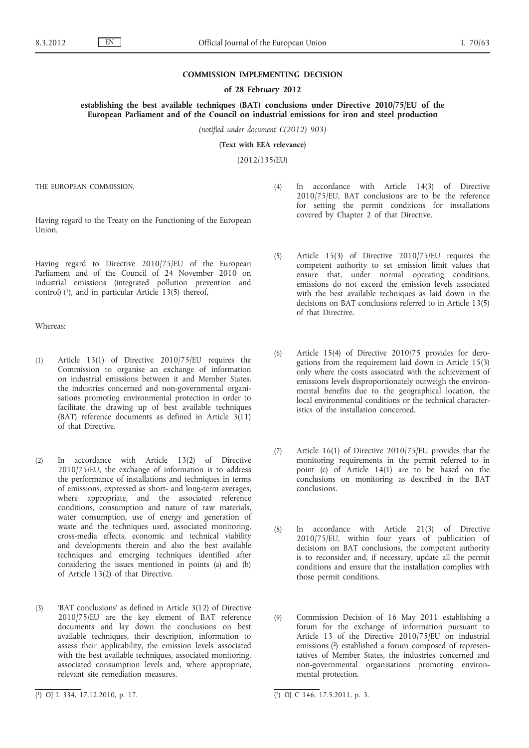## **COMMISSION IMPLEMENTING DECISION**

### **of 28 February 2012**

**establishing the best available techniques (BAT) conclusions under Directive 2010/75/EU of the European Parliament and of the Council on industrial emissions for iron and steel production**

*(notified under document C(2012) 903)*

**(Text with EEA relevance)**

(2012/135/EU)

THE EUROPEAN COMMISSION,

Having regard to the Treaty on the Functioning of the European Union,

Having regard to Directive 2010/75/EU of the European Parliament and of the Council of 24 November 2010 on industrial emissions (integrated pollution prevention and control)  $(1)$ , and in particular Article 13(5) thereof,

Whereas:

- (1) Article 13(1) of Directive 2010/75/EU requires the Commission to organise an exchange of information on industrial emissions between it and Member States, the industries concerned and non-governmental organisations promoting environmental protection in order to facilitate the drawing up of best available techniques (BAT) reference documents as defined in Article 3(11) of that Directive.
- (2) In accordance with Article 13(2) of Directive 2010/75/EU, the exchange of information is to address the performance of installations and techniques in terms of emissions, expressed as short- and long-term averages, where appropriate, and the associated reference conditions, consumption and nature of raw materials, water consumption, use of energy and generation of waste and the techniques used, associated monitoring, cross-media effects, economic and technical viability and developments therein and also the best available techniques and emerging techniques identified after considering the issues mentioned in points (a) and (b) of Article 13(2) of that Directive.
- (3) 'BAT conclusions' as defined in Article 3(12) of Directive 2010/75/EU are the key element of BAT reference documents and lay down the conclusions on best available techniques, their description, information to assess their applicability, the emission levels associated with the best available techniques, associated monitoring, associated consumption levels and, where appropriate, relevant site remediation measures.
- (4) In accordance with Article 14(3) of Directive 2010/75/EU, BAT conclusions are to be the reference for setting the permit conditions for installations covered by Chapter 2 of that Directive.
- (5) Article 15(3) of Directive 2010/75/EU requires the competent authority to set emission limit values that ensure that, under normal operating conditions, emissions do not exceed the emission levels associated with the best available techniques as laid down in the decisions on BAT conclusions referred to in Article 13(5) of that Directive.
- (6) Article 15(4) of Directive 2010/75 provides for derogations from the requirement laid down in Article 15(3) only where the costs associated with the achievement of emissions levels disproportionately outweigh the environmental benefits due to the geographical location, the local environmental conditions or the technical characteristics of the installation concerned.
- (7) Article 16(1) of Directive 2010/75/EU provides that the monitoring requirements in the permit referred to in point (c) of Article 14(1) are to be based on the conclusions on monitoring as described in the BAT conclusions.
- (8) In accordance with Article 21(3) of Directive 2010/75/EU, within four years of publication of decisions on BAT conclusions, the competent authority is to reconsider and, if necessary, update all the permit conditions and ensure that the installation complies with those permit conditions.
- (9) Commission Decision of 16 May 2011 establishing a forum for the exchange of information pursuant to Article 13 of the Directive 2010/75/EU on industrial emissions (2) established a forum composed of representatives of Member States, the industries concerned and non-governmental organisations promoting environmental protection.

<sup>(</sup> 1) OJ L 334, 17.12.2010, p. 17. (2) OJ C 146, 17.5.2011, p. 3.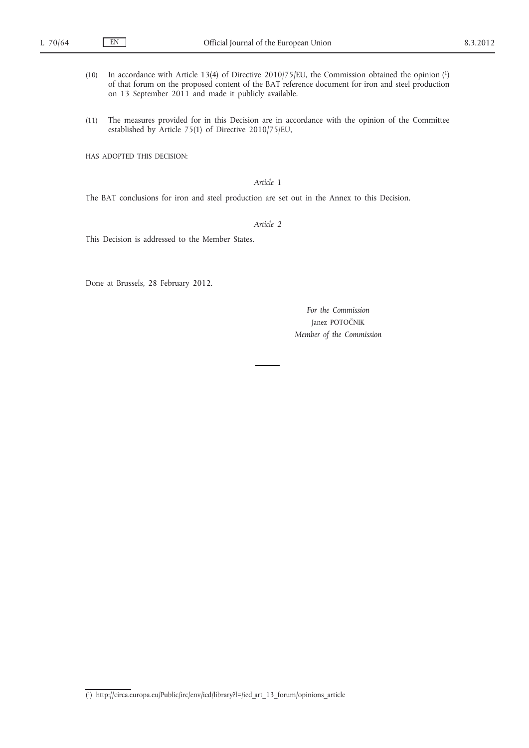- (10) In accordance with Article 13(4) of Directive 2010/75/EU, the Commission obtained the opinion (1) of that forum on the proposed content of the BAT reference document for iron and steel production on 13 September 2011 and made it publicly available.
- (11) The measures provided for in this Decision are in accordance with the opinion of the Committee established by Article 75(1) of Directive 2010/75/EU,

HAS ADOPTED THIS DECISION:

# *Article 1*

The BAT conclusions for iron and steel production are set out in the Annex to this Decision.

### *Article 2*

This Decision is addressed to the Member States.

Done at Brussels, 28 February 2012.

*For the Commission* Janez POTOČNIK *Member of the Commission*

<sup>(</sup> 1) [http://circa.europa.eu/Public/irc/env/ied/library?l=/ied\\_art\\_13\\_forum/opinions\\_article](http://circa.europa.eu/Public/irc/env/ied/library?l=/ied_art_13_forum/opinions_article)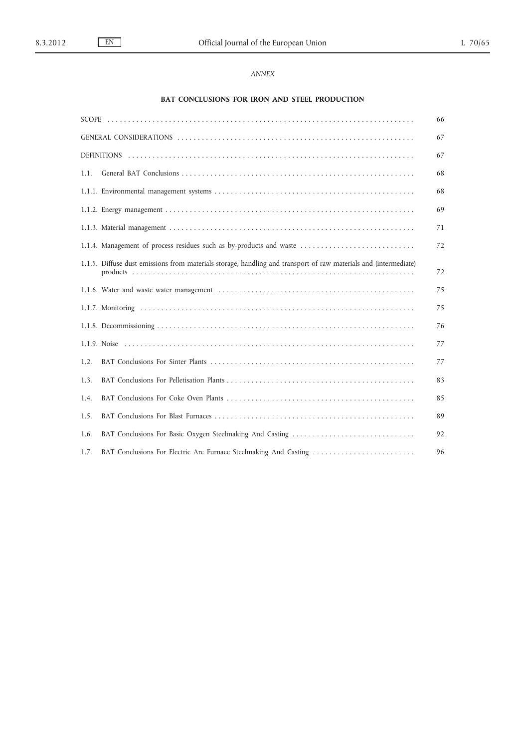# *ANNEX*

# **BAT CONCLUSIONS FOR IRON AND STEEL PRODUCTION**

|      |                                                                                                                  | 66 |
|------|------------------------------------------------------------------------------------------------------------------|----|
|      |                                                                                                                  | 67 |
|      |                                                                                                                  | 67 |
| 1.1. |                                                                                                                  | 68 |
|      |                                                                                                                  | 68 |
|      |                                                                                                                  | 69 |
|      |                                                                                                                  | 71 |
|      | 1.1.4. Management of process residues such as by-products and waste                                              | 72 |
|      | 1.1.5. Diffuse dust emissions from materials storage, handling and transport of raw materials and (intermediate) | 72 |
|      |                                                                                                                  | 75 |
|      |                                                                                                                  | 75 |
|      |                                                                                                                  | 76 |
|      |                                                                                                                  | 77 |
| 1.2. |                                                                                                                  | 77 |
| 1.3. |                                                                                                                  | 83 |
| 1.4. |                                                                                                                  | 85 |
| 1.5. |                                                                                                                  | 89 |
| 1.6. | BAT Conclusions For Basic Oxygen Steelmaking And Casting                                                         | 92 |
| 1.7. | BAT Conclusions For Electric Arc Furnace Steelmaking And Casting                                                 | 96 |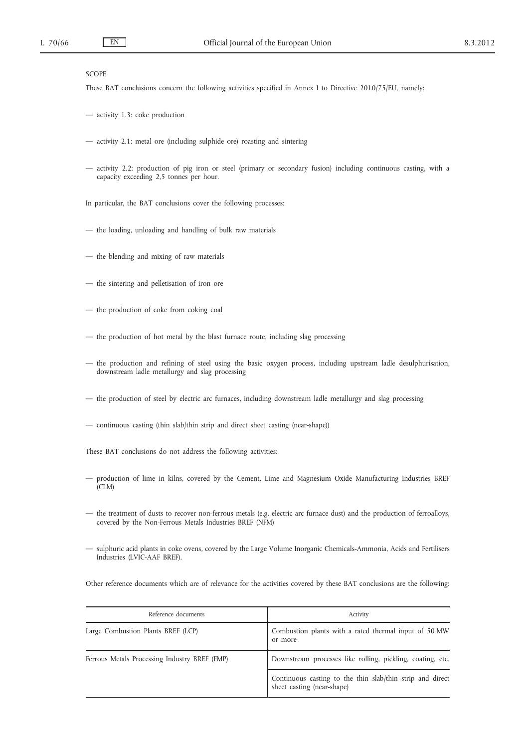# SCOPE

These BAT conclusions concern the following activities specified in Annex I to Directive 2010/75/EU, namely:

- activity 1.3: coke production
- activity 2.1: metal ore (including sulphide ore) roasting and sintering
- activity 2.2: production of pig iron or steel (primary or secondary fusion) including continuous casting, with a capacity exceeding 2,5 tonnes per hour.

In particular, the BAT conclusions cover the following processes:

- the loading, unloading and handling of bulk raw materials
- the blending and mixing of raw materials
- the sintering and pelletisation of iron ore
- the production of coke from coking coal
- the production of hot metal by the blast furnace route, including slag processing
- the production and refining of steel using the basic oxygen process, including upstream ladle desulphurisation, downstream ladle metallurgy and slag processing
- the production of steel by electric arc furnaces, including downstream ladle metallurgy and slag processing
- continuous casting (thin slab/thin strip and direct sheet casting (near-shape))

These BAT conclusions do not address the following activities:

- production of lime in kilns, covered by the Cement, Lime and Magnesium Oxide Manufacturing Industries BREF (CLM)
- the treatment of dusts to recover non-ferrous metals (e.g. electric arc furnace dust) and the production of ferroalloys, covered by the Non-Ferrous Metals Industries BREF (NFM)
- sulphuric acid plants in coke ovens, covered by the Large Volume Inorganic Chemicals-Ammonia, Acids and Fertilisers Industries (LVIC-AAF BREF).

Other reference documents which are of relevance for the activities covered by these BAT conclusions are the following:

| Reference documents                           | Activity                                                                                |  |
|-----------------------------------------------|-----------------------------------------------------------------------------------------|--|
| Large Combustion Plants BREF (LCP)            | Combustion plants with a rated thermal input of 50 MW<br>or more                        |  |
| Ferrous Metals Processing Industry BREF (FMP) | Downstream processes like rolling, pickling, coating, etc.                              |  |
|                                               | Continuous casting to the thin slab/thin strip and direct<br>sheet casting (near-shape) |  |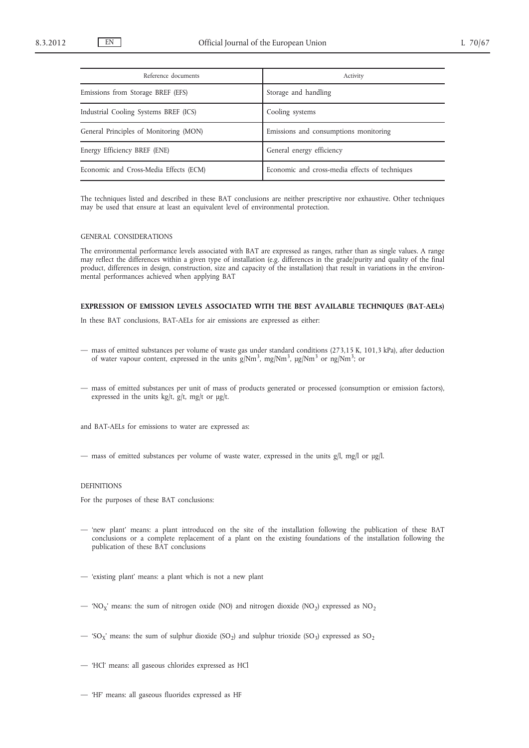| Reference documents                    | Activity                                       |
|----------------------------------------|------------------------------------------------|
| Emissions from Storage BREF (EFS)      | Storage and handling                           |
| Industrial Cooling Systems BREF (ICS)  | Cooling systems                                |
| General Principles of Monitoring (MON) | Emissions and consumptions monitoring          |
| Energy Efficiency BREF (ENE)           | General energy efficiency                      |
| Economic and Cross-Media Effects (ECM) | Economic and cross-media effects of techniques |

The techniques listed and described in these BAT conclusions are neither prescriptive nor exhaustive. Other techniques may be used that ensure at least an equivalent level of environmental protection.

#### GENERAL CONSIDERATIONS

The environmental performance levels associated with BAT are expressed as ranges, rather than as single values. A range may reflect the differences within a given type of installation (e.g. differences in the grade/purity and quality of the final product, differences in design, construction, size and capacity of the installation) that result in variations in the environmental performances achieved when applying BAT

### **EXPRESSION OF EMISSION LEVELS ASSOCIATED WITH THE BEST AVAILABLE TECHNIQUES (BAT-AELs)**

In these BAT conclusions, BAT-AELs for air emissions are expressed as either:

- mass of emitted substances per volume of waste gas under standard conditions (273,15 K, 101,3 kPa), after deduction of water vapour content, expressed in the units  $g/Nm<sup>3</sup>$ , mg/Nm<sup>3</sup>,  $\mu g/Nm<sup>3</sup>$  or ng/Nm<sup>3</sup>; or
- mass of emitted substances per unit of mass of products generated or processed (consumption or emission factors), expressed in the units kg/t, g/t, mg/t or  $\mu$ g/t.

and BAT-AELs for emissions to water are expressed as:

— mass of emitted substances per volume of waste water, expressed in the units g/l, mg/l or μg/l.

### DEFINITIONS

For the purposes of these BAT conclusions:

- 'new plant' means: a plant introduced on the site of the installation following the publication of these BAT conclusions or a complete replacement of a plant on the existing foundations of the installation following the publication of these BAT conclusions
- 'existing plant' means: a plant which is not a new plant
- 'NO<sub>X</sub>' means: the sum of nitrogen oxide (NO) and nitrogen dioxide (NO<sub>2</sub>) expressed as NO<sub>2</sub>
- 'SO<sub>X</sub>' means: the sum of sulphur dioxide (SO<sub>2</sub>) and sulphur trioxide (SO<sub>3</sub>) expressed as SO<sub>2</sub>
- 'HCl' means: all gaseous chlorides expressed as HCl
- 'HF' means: all gaseous fluorides expressed as HF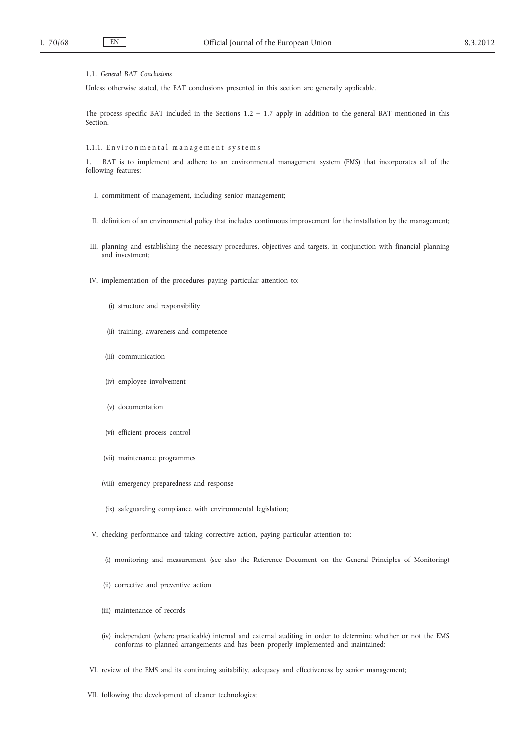### 1.1. *General BAT Conclusions*

Unless otherwise stated, the BAT conclusions presented in this section are generally applicable.

The process specific BAT included in the Sections  $1.2 - 1.7$  apply in addition to the general BAT mentioned in this Section.

### 1.1.1. Environmental management systems

BAT is to implement and adhere to an environmental management system (EMS) that incorporates all of the following features:

- I. commitment of management, including senior management;
- II. definition of an environmental policy that includes continuous improvement for the installation by the management;
- III. planning and establishing the necessary procedures, objectives and targets, in conjunction with financial planning and investment;
- IV. implementation of the procedures paying particular attention to:
	- (i) structure and responsibility
	- (ii) training, awareness and competence
	- (iii) communication
	- (iv) employee involvement
	- (v) documentation
	- (vi) efficient process control
	- (vii) maintenance programmes
	- (viii) emergency preparedness and response
	- (ix) safeguarding compliance with environmental legislation;
- V. checking performance and taking corrective action, paying particular attention to:
	- (i) monitoring and measurement (see also the Reference Document on the General Principles of Monitoring)
	- (ii) corrective and preventive action
	- (iii) maintenance of records
	- (iv) independent (where practicable) internal and external auditing in order to determine whether or not the EMS conforms to planned arrangements and has been properly implemented and maintained;
- VI. review of the EMS and its continuing suitability, adequacy and effectiveness by senior management;
- VII. following the development of cleaner technologies;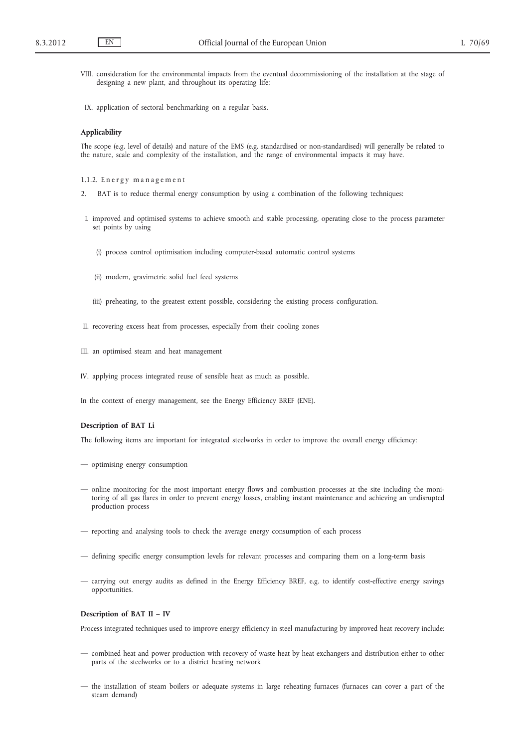- VIII. consideration for the environmental impacts from the eventual decommissioning of the installation at the stage of designing a new plant, and throughout its operating life;
- IX. application of sectoral benchmarking on a regular basis.

### **Applicability**

The scope (e.g. level of details) and nature of the EMS (e.g. standardised or non-standardised) will generally be related to the nature, scale and complexity of the installation, and the range of environmental impacts it may have.

1.1.2. Energy management

- 2. BAT is to reduce thermal energy consumption by using a combination of the following techniques:
- I. improved and optimised systems to achieve smooth and stable processing, operating close to the process parameter set points by using
	- (i) process control optimisation including computer-based automatic control systems
	- (ii) modern, gravimetric solid fuel feed systems
	- (iii) preheating, to the greatest extent possible, considering the existing process configuration.
- II. recovering excess heat from processes, especially from their cooling zones
- III. an optimised steam and heat management
- IV. applying process integrated reuse of sensible heat as much as possible.

In the context of energy management, see the Energy Efficiency BREF (ENE).

### **Description of BAT I.i**

The following items are important for integrated steelworks in order to improve the overall energy efficiency:

- optimising energy consumption
- online monitoring for the most important energy flows and combustion processes at the site including the monitoring of all gas flares in order to prevent energy losses, enabling instant maintenance and achieving an undisrupted production process
- reporting and analysing tools to check the average energy consumption of each process
- defining specific energy consumption levels for relevant processes and comparing them on a long-term basis
- carrying out energy audits as defined in the Energy Efficiency BREF, e.g. to identify cost-effective energy savings opportunities.

#### **Description of BAT II – IV**

Process integrated techniques used to improve energy efficiency in steel manufacturing by improved heat recovery include:

- combined heat and power production with recovery of waste heat by heat exchangers and distribution either to other parts of the steelworks or to a district heating network
- the installation of steam boilers or adequate systems in large reheating furnaces (furnaces can cover a part of the steam demand)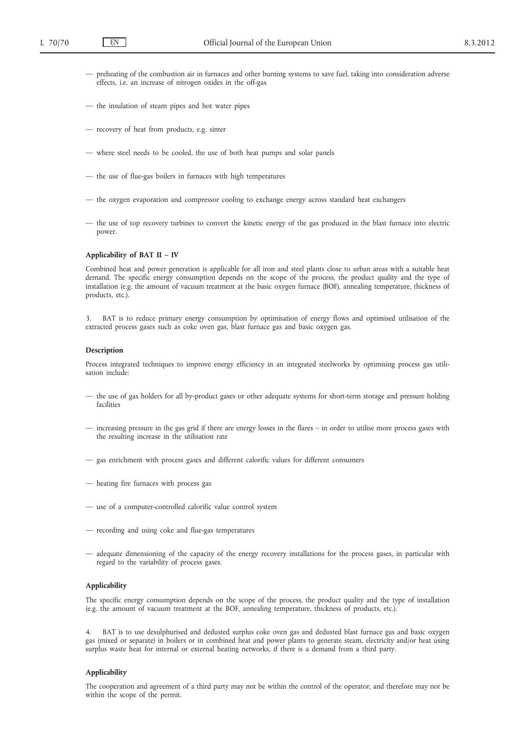- preheating of the combustion air in furnaces and other burning systems to save fuel, taking into consideration adverse effects, i.e. an increase of nitrogen oxides in the off-gas
- the insulation of steam pipes and hot water pipes
- recovery of heat from products, e.g. sinter
- where steel needs to be cooled, the use of both heat pumps and solar panels
- the use of flue-gas boilers in furnaces with high temperatures
- the oxygen evaporation and compressor cooling to exchange energy across standard heat exchangers
- the use of top recovery turbines to convert the kinetic energy of the gas produced in the blast furnace into electric power.

### **Applicability of BAT II – IV**

Combined heat and power generation is applicable for all iron and steel plants close to urban areas with a suitable heat demand. The specific energy consumption depends on the scope of the process, the product quality and the type of installation (e.g. the amount of vacuum treatment at the basic oxygen furnace (BOF), annealing temperature, thickness of products, etc.).

3. BAT is to reduce primary energy consumption by optimisation of energy flows and optimised utilisation of the extracted process gases such as coke oven gas, blast furnace gas and basic oxygen gas.

#### **Description**

Process integrated techniques to improve energy efficiency in an integrated steelworks by optimising process gas utilisation include:

- the use of gas holders for all by-product gases or other adequate systems for short-term storage and pressure holding facilities
- increasing pressure in the gas grid if there are energy losses in the flares in order to utilise more process gases with the resulting increase in the utilisation rate
- gas enrichment with process gases and different calorific values for different consumers
- heating fire furnaces with process gas
- use of a computer-controlled calorific value control system
- recording and using coke and flue-gas temperatures
- adequate dimensioning of the capacity of the energy recovery installations for the process gases, in particular with regard to the variability of process gases.

### **Applicability**

The specific energy consumption depends on the scope of the process, the product quality and the type of installation (e.g. the amount of vacuum treatment at the BOF, annealing temperature, thickness of products, etc.).

4. BAT is to use desulphurised and dedusted surplus coke oven gas and dedusted blast furnace gas and basic oxygen gas (mixed or separate) in boilers or in combined heat and power plants to generate steam, electricity and/or heat using surplus waste heat for internal or external heating networks, if there is a demand from a third party.

### **Applicability**

The cooperation and agreement of a third party may not be within the control of the operator, and therefore may not be within the scope of the permit.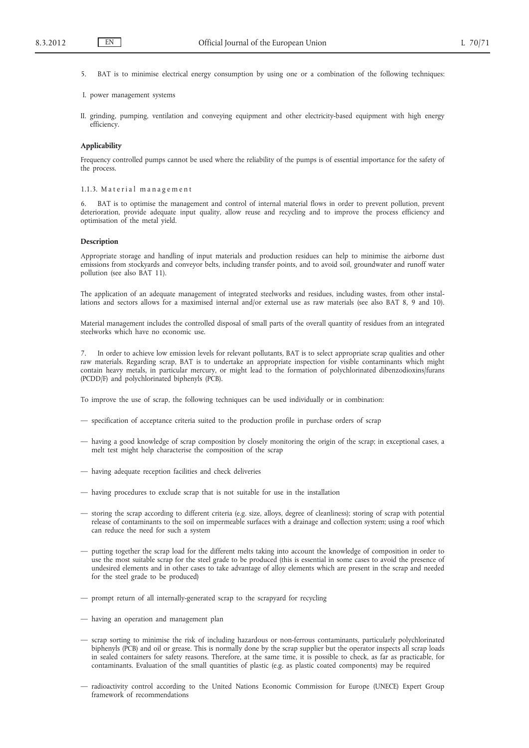- 5. BAT is to minimise electrical energy consumption by using one or a combination of the following techniques:
- I. power management systems
- II. grinding, pumping, ventilation and conveying equipment and other electricity-based equipment with high energy efficiency.

### **Applicability**

Frequency controlled pumps cannot be used where the reliability of the pumps is of essential importance for the safety of the process.

### 1.1.3. Material management

6. BAT is to optimise the management and control of internal material flows in order to prevent pollution, prevent deterioration, provide adequate input quality, allow reuse and recycling and to improve the process efficiency and optimisation of the metal yield.

#### **Description**

Appropriate storage and handling of input materials and production residues can help to minimise the airborne dust emissions from stockyards and conveyor belts, including transfer points, and to avoid soil, groundwater and runoff water pollution (see also BAT 11).

The application of an adequate management of integrated steelworks and residues, including wastes, from other installations and sectors allows for a maximised internal and/or external use as raw materials (see also BAT 8, 9 and 10).

Material management includes the controlled disposal of small parts of the overall quantity of residues from an integrated steelworks which have no economic use.

7. In order to achieve low emission levels for relevant pollutants, BAT is to select appropriate scrap qualities and other raw materials. Regarding scrap, BAT is to undertake an appropriate inspection for visible contaminants which might contain heavy metals, in particular mercury, or might lead to the formation of polychlorinated dibenzodioxins/furans (PCDD/F) and polychlorinated biphenyls (PCB).

To improve the use of scrap, the following techniques can be used individually or in combination:

- specification of acceptance criteria suited to the production profile in purchase orders of scrap
- having a good knowledge of scrap composition by closely monitoring the origin of the scrap; in exceptional cases, a melt test might help characterise the composition of the scrap
- having adequate reception facilities and check deliveries
- having procedures to exclude scrap that is not suitable for use in the installation
- storing the scrap according to different criteria (e.g. size, alloys, degree of cleanliness); storing of scrap with potential release of contaminants to the soil on impermeable surfaces with a drainage and collection system; using a roof which can reduce the need for such a system
- putting together the scrap load for the different melts taking into account the knowledge of composition in order to use the most suitable scrap for the steel grade to be produced (this is essential in some cases to avoid the presence of undesired elements and in other cases to take advantage of alloy elements which are present in the scrap and needed for the steel grade to be produced)
- prompt return of all internally-generated scrap to the scrapyard for recycling
- having an operation and management plan
- scrap sorting to minimise the risk of including hazardous or non-ferrous contaminants, particularly polychlorinated biphenyls (PCB) and oil or grease. This is normally done by the scrap supplier but the operator inspects all scrap loads in sealed containers for safety reasons. Therefore, at the same time, it is possible to check, as far as practicable, for contaminants. Evaluation of the small quantities of plastic (e.g. as plastic coated components) may be required
- radioactivity control according to the United Nations Economic Commission for Europe (UNECE) Expert Group framework of recommendations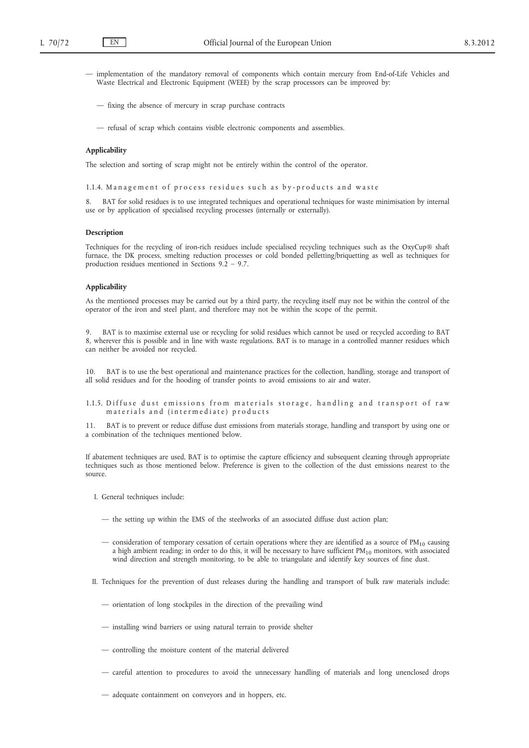- implementation of the mandatory removal of components which contain mercury from End-of-Life Vehicles and Waste Electrical and Electronic Equipment (WEEE) by the scrap processors can be improved by:
	- fixing the absence of mercury in scrap purchase contracts
	- refusal of scrap which contains visible electronic components and assemblies.

## **Applicability**

The selection and sorting of scrap might not be entirely within the control of the operator.

1.1.4. Management of process residues such as by-products and waste

8. BAT for solid residues is to use integrated techniques and operational techniques for waste minimisation by internal use or by application of specialised recycling processes (internally or externally).

### **Description**

Techniques for the recycling of iron-rich residues include specialised recycling techniques such as the OxyCup® shaft furnace, the DK process, smelting reduction processes or cold bonded pelletting/briquetting as well as techniques for production residues mentioned in Sections 9.2 – 9.7.

### **Applicability**

As the mentioned processes may be carried out by a third party, the recycling itself may not be within the control of the operator of the iron and steel plant, and therefore may not be within the scope of the permit.

9. BAT is to maximise external use or recycling for solid residues which cannot be used or recycled according to BAT 8, wherever this is possible and in line with waste regulations. BAT is to manage in a controlled manner residues which can neither be avoided nor recycled.

10. BAT is to use the best operational and maintenance practices for the collection, handling, storage and transport of all solid residues and for the hooding of transfer points to avoid emissions to air and water.

1.1.5. Diffuse dust emissions from materials storage, handling and transport of raw m a t e rials and (intermediate) products

11. BAT is to prevent or reduce diffuse dust emissions from materials storage, handling and transport by using one or a combination of the techniques mentioned below.

If abatement techniques are used, BAT is to optimise the capture efficiency and subsequent cleaning through appropriate techniques such as those mentioned below. Preference is given to the collection of the dust emissions nearest to the source.

- I. General techniques include:
	- the setting up within the EMS of the steelworks of an associated diffuse dust action plan;
	- consideration of temporary cessation of certain operations where they are identified as a source of  $PM_{10}$  causing a high ambient reading; in order to do this, it will be necessary to have sufficient  $PM_{10}$  monitors, with associated wind direction and strength monitoring, to be able to triangulate and identify key sources of fine dust.
- II. Techniques for the prevention of dust releases during the handling and transport of bulk raw materials include:
	- orientation of long stockpiles in the direction of the prevailing wind
	- installing wind barriers or using natural terrain to provide shelter
	- controlling the moisture content of the material delivered
	- careful attention to procedures to avoid the unnecessary handling of materials and long unenclosed drops
	- adequate containment on conveyors and in hoppers, etc.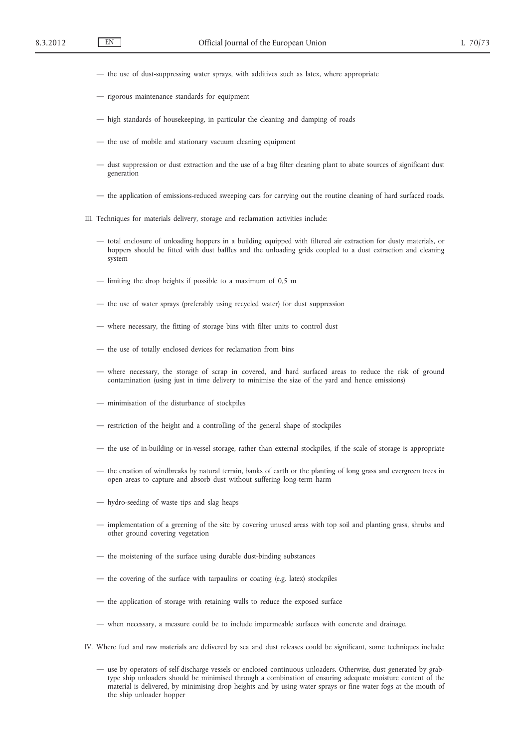- the use of dust-suppressing water sprays, with additives such as latex, where appropriate
- rigorous maintenance standards for equipment
- high standards of housekeeping, in particular the cleaning and damping of roads
- the use of mobile and stationary vacuum cleaning equipment
- dust suppression or dust extraction and the use of a bag filter cleaning plant to abate sources of significant dust generation
- the application of emissions-reduced sweeping cars for carrying out the routine cleaning of hard surfaced roads.
- III. Techniques for materials delivery, storage and reclamation activities include:
	- total enclosure of unloading hoppers in a building equipped with filtered air extraction for dusty materials, or hoppers should be fitted with dust baffles and the unloading grids coupled to a dust extraction and cleaning system
	- limiting the drop heights if possible to a maximum of 0,5 m
	- the use of water sprays (preferably using recycled water) for dust suppression
	- where necessary, the fitting of storage bins with filter units to control dust
	- the use of totally enclosed devices for reclamation from bins
	- where necessary, the storage of scrap in covered, and hard surfaced areas to reduce the risk of ground contamination (using just in time delivery to minimise the size of the yard and hence emissions)
	- minimisation of the disturbance of stockpiles
	- restriction of the height and a controlling of the general shape of stockpiles
	- the use of in-building or in-vessel storage, rather than external stockpiles, if the scale of storage is appropriate
	- the creation of windbreaks by natural terrain, banks of earth or the planting of long grass and evergreen trees in open areas to capture and absorb dust without suffering long-term harm
	- hydro-seeding of waste tips and slag heaps
	- implementation of a greening of the site by covering unused areas with top soil and planting grass, shrubs and other ground covering vegetation
	- the moistening of the surface using durable dust-binding substances
	- the covering of the surface with tarpaulins or coating (e.g. latex) stockpiles
	- the application of storage with retaining walls to reduce the exposed surface
	- when necessary, a measure could be to include impermeable surfaces with concrete and drainage.
- IV. Where fuel and raw materials are delivered by sea and dust releases could be significant, some techniques include:
	- use by operators of self-discharge vessels or enclosed continuous unloaders. Otherwise, dust generated by grabtype ship unloaders should be minimised through a combination of ensuring adequate moisture content of the material is delivered, by minimising drop heights and by using water sprays or fine water fogs at the mouth of the ship unloader hopper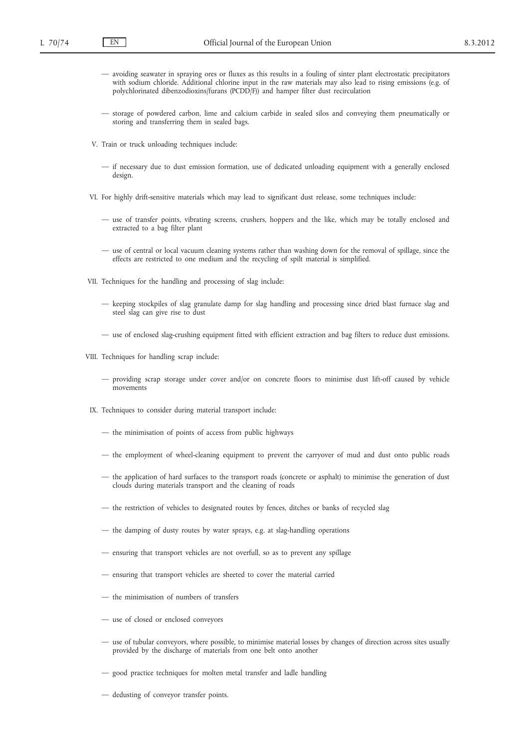- avoiding seawater in spraying ores or fluxes as this results in a fouling of sinter plant electrostatic precipitators with sodium chloride. Additional chlorine input in the raw materials may also lead to rising emissions (e.g. of polychlorinated dibenzodioxins/furans (PCDD/F)) and hamper filter dust recirculation
- storage of powdered carbon, lime and calcium carbide in sealed silos and conveying them pneumatically or storing and transferring them in sealed bags.
- V. Train or truck unloading techniques include:
	- if necessary due to dust emission formation, use of dedicated unloading equipment with a generally enclosed design.
- VI. For highly drift-sensitive materials which may lead to significant dust release, some techniques include:
	- use of transfer points, vibrating screens, crushers, hoppers and the like, which may be totally enclosed and extracted to a bag filter plant
	- use of central or local vacuum cleaning systems rather than washing down for the removal of spillage, since the effects are restricted to one medium and the recycling of spilt material is simplified.
- VII. Techniques for the handling and processing of slag include:
	- keeping stockpiles of slag granulate damp for slag handling and processing since dried blast furnace slag and steel slag can give rise to dust
	- use of enclosed slag-crushing equipment fitted with efficient extraction and bag filters to reduce dust emissions.
- VIII. Techniques for handling scrap include:
	- providing scrap storage under cover and/or on concrete floors to minimise dust lift-off caused by vehicle movements
- IX. Techniques to consider during material transport include:
	- the minimisation of points of access from public highways
	- the employment of wheel-cleaning equipment to prevent the carryover of mud and dust onto public roads
	- the application of hard surfaces to the transport roads (concrete or asphalt) to minimise the generation of dust clouds during materials transport and the cleaning of roads
	- the restriction of vehicles to designated routes by fences, ditches or banks of recycled slag
	- the damping of dusty routes by water sprays, e.g. at slag-handling operations
	- ensuring that transport vehicles are not overfull, so as to prevent any spillage
	- ensuring that transport vehicles are sheeted to cover the material carried
	- the minimisation of numbers of transfers
	- use of closed or enclosed conveyors
	- use of tubular conveyors, where possible, to minimise material losses by changes of direction across sites usually provided by the discharge of materials from one belt onto another
	- good practice techniques for molten metal transfer and ladle handling
	- dedusting of conveyor transfer points.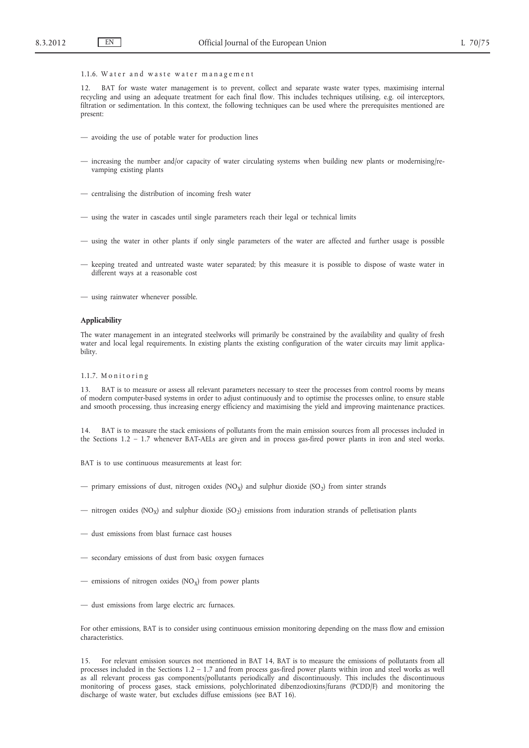### 1.1.6. Water and waste water management

12. BAT for waste water management is to prevent, collect and separate waste water types, maximising internal recycling and using an adequate treatment for each final flow. This includes techniques utilising, e.g. oil interceptors, filtration or sedimentation. In this context, the following techniques can be used where the prerequisites mentioned are present:

- avoiding the use of potable water for production lines
- increasing the number and/or capacity of water circulating systems when building new plants or modernising/revamping existing plants
- centralising the distribution of incoming fresh water
- using the water in cascades until single parameters reach their legal or technical limits
- using the water in other plants if only single parameters of the water are affected and further usage is possible
- keeping treated and untreated waste water separated; by this measure it is possible to dispose of waste water in different ways at a reasonable cost
- using rainwater whenever possible.

#### **Applicability**

The water management in an integrated steelworks will primarily be constrained by the availability and quality of fresh water and local legal requirements. In existing plants the existing configuration of the water circuits may limit applicability.

### 1.1.7. Monitoring

13. BAT is to measure or assess all relevant parameters necessary to steer the processes from control rooms by means of modern computer-based systems in order to adjust continuously and to optimise the processes online, to ensure stable and smooth processing, thus increasing energy efficiency and maximising the yield and improving maintenance practices.

14. BAT is to measure the stack emissions of pollutants from the main emission sources from all processes included in the Sections 1.2 – 1.7 whenever BAT-AELs are given and in process gas-fired power plants in iron and steel works.

BAT is to use continuous measurements at least for:

- primary emissions of dust, nitrogen oxides (NO<sub>x</sub>) and sulphur dioxide (SO<sub>2</sub>) from sinter strands
- nitrogen oxides (NO<sub>X</sub>) and sulphur dioxide (SO<sub>2</sub>) emissions from induration strands of pelletisation plants
- dust emissions from blast furnace cast houses
- secondary emissions of dust from basic oxygen furnaces
- emissions of nitrogen oxides  $(NO<sub>X</sub>)$  from power plants
- dust emissions from large electric arc furnaces.

For other emissions, BAT is to consider using continuous emission monitoring depending on the mass flow and emission characteristics.

15. For relevant emission sources not mentioned in BAT 14, BAT is to measure the emissions of pollutants from all processes included in the Sections 1.2 – 1.7 and from process gas-fired power plants within iron and steel works as well as all relevant process gas components/pollutants periodically and discontinuously. This includes the discontinuous monitoring of process gases, stack emissions, polychlorinated dibenzodioxins/furans (PCDD/F) and monitoring the discharge of waste water, but excludes diffuse emissions (see BAT 16).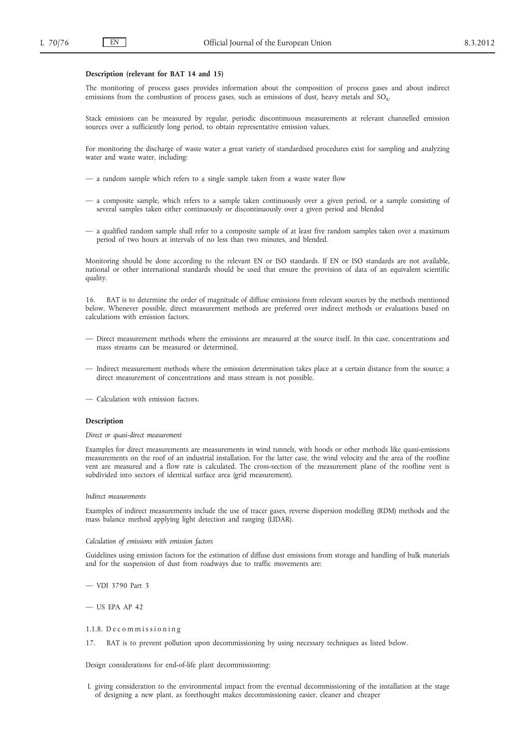#### **Description (relevant for BAT 14 and 15)**

The monitoring of process gases provides information about the composition of process gases and about indirect emissions from the combustion of process gases, such as emissions of dust, heavy metals and SO<sub>y</sub>.

Stack emissions can be measured by regular, periodic discontinuous measurements at relevant channelled emission sources over a sufficiently long period, to obtain representative emission values.

For monitoring the discharge of waste water a great variety of standardised procedures exist for sampling and analyzing water and waste water, including:

- a random sample which refers to a single sample taken from a waste water flow
- a composite sample, which refers to a sample taken continuously over a given period, or a sample consisting of several samples taken either continuously or discontinuously over a given period and blended
- a qualified random sample shall refer to a composite sample of at least five random samples taken over a maximum period of two hours at intervals of no less than two minutes, and blended.

Monitoring should be done according to the relevant EN or ISO standards. If EN or ISO standards are not available, national or other international standards should be used that ensure the provision of data of an equivalent scientific quality.

16. BAT is to determine the order of magnitude of diffuse emissions from relevant sources by the methods mentioned below. Whenever possible, direct measurement methods are preferred over indirect methods or evaluations based on calculations with emission factors.

- Direct measurement methods where the emissions are measured at the source itself. In this case, concentrations and mass streams can be measured or determined.
- Indirect measurement methods where the emission determination takes place at a certain distance from the source; a direct measurement of concentrations and mass stream is not possible.
- Calculation with emission factors.

### **Description**

*Direct or quasi-direct measurement*

Examples for direct measurements are measurements in wind tunnels, with hoods or other methods like quasi-emissions measurements on the roof of an industrial installation. For the latter case, the wind velocity and the area of the roofline vent are measured and a flow rate is calculated. The cross-section of the measurement plane of the roofline vent is subdivided into sectors of identical surface area (grid measurement).

#### *Indirect measurements*

Examples of indirect measurements include the use of tracer gases, reverse dispersion modelling (RDM) methods and the mass balance method applying light detection and ranging (LIDAR).

#### *Calculation of emissions with emission factors*

Guidelines using emission factors for the estimation of diffuse dust emissions from storage and handling of bulk materials and for the suspension of dust from roadways due to traffic movements are:

— VDI 3790 Part 3

 $-$  US EPA AP 42

1.1.8. Decommissioning

BAT is to prevent pollution upon decommissioning by using necessary techniques as listed below.

Design considerations for end-of-life plant decommissioning:

I. giving consideration to the environmental impact from the eventual decommissioning of the installation at the stage of designing a new plant, as forethought makes decommissioning easier, cleaner and cheaper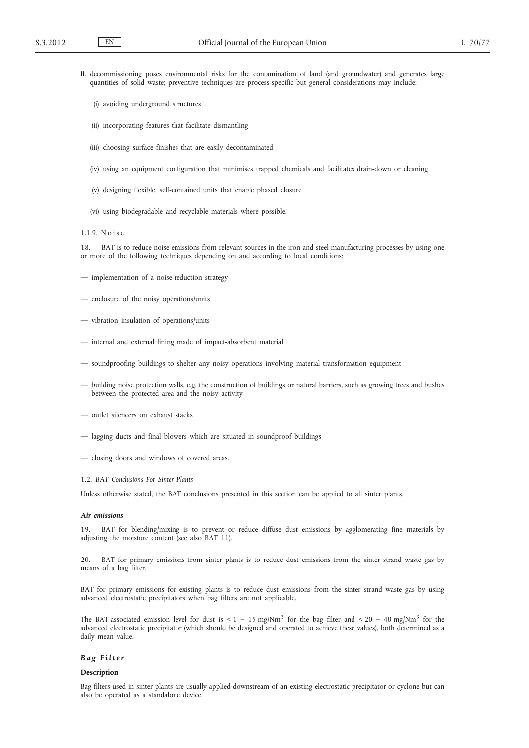- II. decommissioning poses environmental risks for the contamination of land (and groundwater) and generates large quantities of solid waste; preventive techniques are process-specific but general considerations may include:
	- (i) avoiding underground structures
	- (ii) incorporating features that facilitate dismantling
	- (iii) choosing surface finishes that are easily decontaminated
	- (iv) using an equipment configuration that minimises trapped chemicals and facilitates drain-down or cleaning
	- (v) designing flexible, self-contained units that enable phased closure
	- (vi) using biodegradable and recyclable materials where possible.

#### 1.1.9. N o i s e

18. BAT is to reduce noise emissions from relevant sources in the iron and steel manufacturing processes by using one or more of the following techniques depending on and according to local conditions:

- implementation of a noise-reduction strategy
- enclosure of the noisy operations/units
- vibration insulation of operations/units
- internal and external lining made of impact-absorbent material
- soundproofing buildings to shelter any noisy operations involving material transformation equipment
- building noise protection walls, e.g. the construction of buildings or natural barriers, such as growing trees and bushes between the protected area and the noisy activity
- outlet silencers on exhaust stacks
- lagging ducts and final blowers which are situated in soundproof buildings
- closing doors and windows of covered areas.

### 1.2. *BAT Conclusions For Sinter Plants*

Unless otherwise stated, the BAT conclusions presented in this section can be applied to all sinter plants.

#### *Air emissions*

19. BAT for blending/mixing is to prevent or reduce diffuse dust emissions by agglomerating fine materials by adjusting the moisture content (see also BAT 11).

20. BAT for primary emissions from sinter plants is to reduce dust emissions from the sinter strand waste gas by means of a bag filter.

BAT for primary emissions for existing plants is to reduce dust emissions from the sinter strand waste gas by using advanced electrostatic precipitators when bag filters are not applicable.

The BAT-associated emission level for dust is <  $1 - 15$  mg/Nm<sup>3</sup> for the bag filter and <  $20 - 40$  mg/Nm<sup>3</sup> for the advanced electrostatic precipitator (which should be designed and operated to achieve these values), both determined as a daily mean value.

### *B a g F i l t e r*

#### **Description**

Bag filters used in sinter plants are usually applied downstream of an existing electrostatic precipitator or cyclone but can also be operated as a standalone device.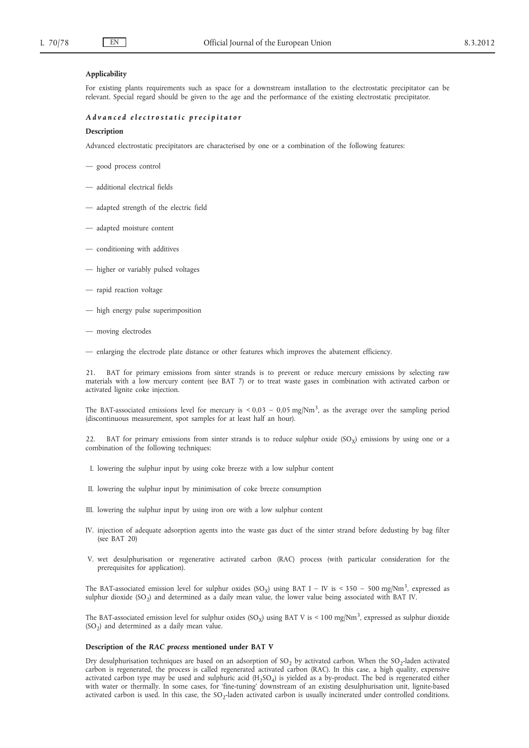## **Applicability**

For existing plants requirements such as space for a downstream installation to the electrostatic precipitator can be relevant. Special regard should be given to the age and the performance of the existing electrostatic precipitator.

### *A d v a n c e d e l e c t r o s t a t i c p r e c i p i t a t o r*

### **Description**

Advanced electrostatic precipitators are characterised by one or a combination of the following features:

- good process control
- additional electrical fields
- adapted strength of the electric field
- adapted moisture content
- conditioning with additives
- higher or variably pulsed voltages
- rapid reaction voltage
- high energy pulse superimposition
- moving electrodes
- enlarging the electrode plate distance or other features which improves the abatement efficiency.

BAT for primary emissions from sinter strands is to prevent or reduce mercury emissions by selecting raw materials with a low mercury content (see BAT 7) or to treat waste gases in combination with activated carbon or activated lignite coke injection.

The BAT-associated emissions level for mercury is  $< 0.03 - 0.05$  mg/Nm<sup>3</sup>, as the average over the sampling period (discontinuous measurement, spot samples for at least half an hour).

22. BAT for primary emissions from sinter strands is to reduce sulphur oxide  $(SO<sub>x</sub>)$  emissions by using one or a combination of the following techniques:

- I. lowering the sulphur input by using coke breeze with a low sulphur content
- II. lowering the sulphur input by minimisation of coke breeze consumption
- III. lowering the sulphur input by using iron ore with a low sulphur content
- IV. injection of adequate adsorption agents into the waste gas duct of the sinter strand before dedusting by bag filter (see BAT 20)
- V. wet desulphurisation or regenerative activated carbon (RAC) process (with particular consideration for the prerequisites for application).

The BAT-associated emission level for sulphur oxides (SO<sub>x</sub>) using BAT I – IV is < 350 – 500 mg/Nm<sup>3</sup>, expressed as sulphur dioxide  $(SO<sub>2</sub>)$  and determined as a daily mean value, the lower value being associated with BAT IV.

The BAT-associated emission level for sulphur oxides (SO<sub>x</sub>) using BAT V is < 100 mg/Nm<sup>3</sup>, expressed as sulphur dioxide  $(SO<sub>2</sub>)$  and determined as a daily mean value.

### **Description of the** *RAC process* **mentioned under BAT V**

Dry desulphurisation techniques are based on an adsorption of SO<sub>2</sub> by activated carbon. When the SO<sub>2</sub>-laden activated carbon is regenerated, the process is called regenerated activated carbon (RAC). In this case, a high quality, expensive activated carbon type may be used and sulphuric acid  $(H_2SO_4)$  is yielded as a by-product. The bed is regenerated either with water or thermally. In some cases, for 'fine-tuning' downstream of an existing desulphurisation unit, lignite-based activated carbon is used. In this case, the SO<sub>2</sub>-laden activated carbon is usually incinerated under controlled conditions.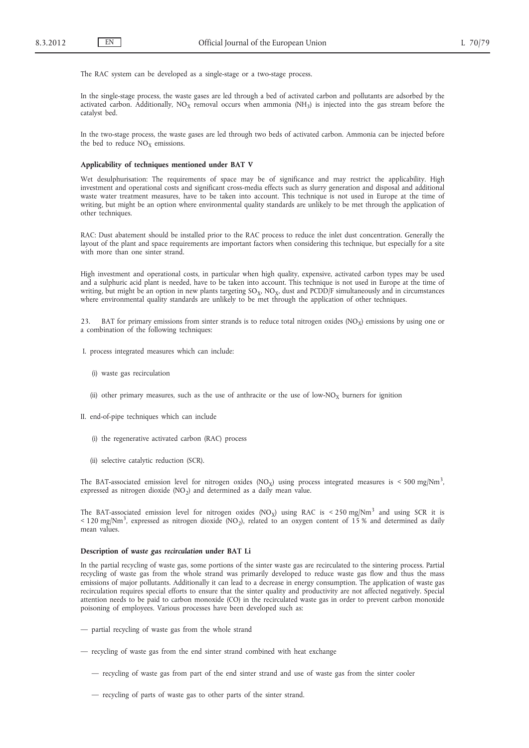The RAC system can be developed as a single-stage or a two-stage process.

In the single-stage process, the waste gases are led through a bed of activated carbon and pollutants are adsorbed by the activated carbon. Additionally,  $NO<sub>x</sub>$  removal occurs when ammonia (NH<sub>3</sub>) is injected into the gas stream before the catalyst bed.

In the two-stage process, the waste gases are led through two beds of activated carbon. Ammonia can be injected before the bed to reduce  $NO<sub>X</sub>$  emissions.

### **Applicability of techniques mentioned under BAT V**

Wet desulphurisation: The requirements of space may be of significance and may restrict the applicability. High investment and operational costs and significant cross-media effects such as slurry generation and disposal and additional waste water treatment measures, have to be taken into account. This technique is not used in Europe at the time of writing, but might be an option where environmental quality standards are unlikely to be met through the application of other techniques.

RAC: Dust abatement should be installed prior to the RAC process to reduce the inlet dust concentration. Generally the layout of the plant and space requirements are important factors when considering this technique, but especially for a site with more than one sinter strand.

High investment and operational costs, in particular when high quality, expensive, activated carbon types may be used and a sulphuric acid plant is needed, have to be taken into account. This technique is not used in Europe at the time of writing, but might be an option in new plants targeting  $SO_x$ ,  $NO_x$ , dust and PCDD/F simultaneously and in circumstances where environmental quality standards are unlikely to be met through the application of other techniques.

23. BAT for primary emissions from sinter strands is to reduce total nitrogen oxides ( $NO<sub>X</sub>$ ) emissions by using one or a combination of the following techniques:

- I. process integrated measures which can include:
	- (i) waste gas recirculation
	- (ii) other primary measures, such as the use of anthracite or the use of low-NO<sub>X</sub> burners for ignition

II. end-of-pipe techniques which can include

- (i) the regenerative activated carbon (RAC) process
- (ii) selective catalytic reduction (SCR).

The BAT-associated emission level for nitrogen oxides  $(NO_X)$  using process integrated measures is < 500 mg/Nm<sup>3</sup>, expressed as nitrogen dioxide  $(NO<sub>2</sub>)$  and determined as a daily mean value.

The BAT-associated emission level for nitrogen oxides (NO<sub>X</sub>) using RAC is < 250 mg/Nm<sup>3</sup> and using SCR it is < 120 mg/Nm<sup>3</sup>, expressed as nitrogen dioxide (NO<sub>2</sub>), related to an oxygen content of 15 % and determined as daily mean values.

### **Description of** *waste gas recirculation* **under BAT I.i**

In the partial recycling of waste gas, some portions of the sinter waste gas are recirculated to the sintering process. Partial recycling of waste gas from the whole strand was primarily developed to reduce waste gas flow and thus the mass emissions of major pollutants. Additionally it can lead to a decrease in energy consumption. The application of waste gas recirculation requires special efforts to ensure that the sinter quality and productivity are not affected negatively. Special attention needs to be paid to carbon monoxide (CO) in the recirculated waste gas in order to prevent carbon monoxide poisoning of employees. Various processes have been developed such as:

- partial recycling of waste gas from the whole strand
- recycling of waste gas from the end sinter strand combined with heat exchange
	- recycling of waste gas from part of the end sinter strand and use of waste gas from the sinter cooler
	- recycling of parts of waste gas to other parts of the sinter strand.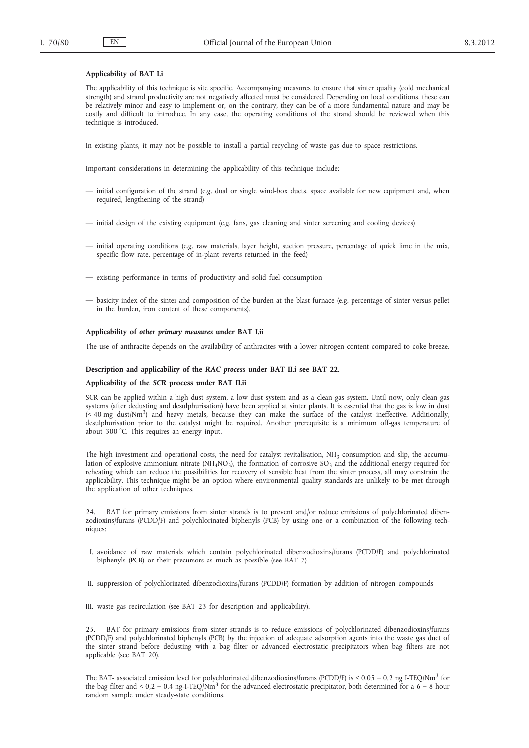## **Applicability of BAT I.i**

The applicability of this technique is site specific. Accompanying measures to ensure that sinter quality (cold mechanical strength) and strand productivity are not negatively affected must be considered. Depending on local conditions, these can be relatively minor and easy to implement or, on the contrary, they can be of a more fundamental nature and may be costly and difficult to introduce. In any case, the operating conditions of the strand should be reviewed when this technique is introduced.

In existing plants, it may not be possible to install a partial recycling of waste gas due to space restrictions.

Important considerations in determining the applicability of this technique include:

- initial configuration of the strand (e.g. dual or single wind-box ducts, space available for new equipment and, when required, lengthening of the strand)
- initial design of the existing equipment (e.g. fans, gas cleaning and sinter screening and cooling devices)
- initial operating conditions (e.g. raw materials, layer height, suction pressure, percentage of quick lime in the mix, specific flow rate, percentage of in-plant reverts returned in the feed)
- existing performance in terms of productivity and solid fuel consumption
- basicity index of the sinter and composition of the burden at the blast furnace (e.g. percentage of sinter versus pellet in the burden, iron content of these components).

### **Applicability of** *other primary measures* **under BAT I.ii**

The use of anthracite depends on the availability of anthracites with a lower nitrogen content compared to coke breeze.

#### **Description and applicability of the** *RAC process* **under BAT II.i see BAT 22.**

#### **Applicability of the** *SCR* **process under BAT II.ii**

SCR can be applied within a high dust system, a low dust system and as a clean gas system. Until now, only clean gas systems (after dedusting and desulphurisation) have been applied at sinter plants. It is essential that the gas is low in dust (< 40 mg dust/Nm3) and heavy metals, because they can make the surface of the catalyst ineffective. Additionally, desulphurisation prior to the catalyst might be required. Another prerequisite is a minimum off-gas temperature of about 300 °C. This requires an energy input.

The high investment and operational costs, the need for catalyst revitalisation,  $NH<sub>3</sub>$  consumption and slip, the accumulation of explosive ammonium nitrate (NH<sub>4</sub>NO<sub>3</sub>), the formation of corrosive SO<sub>3</sub> and the additional energy required for reheating which can reduce the possibilities for recovery of sensible heat from the sinter process, all may constrain the applicability. This technique might be an option where environmental quality standards are unlikely to be met through the application of other techniques.

24. BAT for primary emissions from sinter strands is to prevent and/or reduce emissions of polychlorinated dibenzodioxins/furans (PCDD/F) and polychlorinated biphenyls (PCB) by using one or a combination of the following techniques:

- I. avoidance of raw materials which contain polychlorinated dibenzodioxins/furans (PCDD/F) and polychlorinated biphenyls (PCB) or their precursors as much as possible (see BAT 7)
- II. suppression of polychlorinated dibenzodioxins/furans (PCDD/F) formation by addition of nitrogen compounds

III. waste gas recirculation (see BAT 23 for description and applicability).

25. BAT for primary emissions from sinter strands is to reduce emissions of polychlorinated dibenzodioxins/furans (PCDD/F) and polychlorinated biphenyls (PCB) by the injection of adequate adsorption agents into the waste gas duct of the sinter strand before dedusting with a bag filter or advanced electrostatic precipitators when bag filters are not applicable (see BAT 20).

The BAT- associated emission level for polychlorinated dibenzodioxins/furans (PCDD/F) is < 0,05 – 0,2 ng I-TEQ/Nm<sup>3</sup> for the bag filter and < 0,2 – 0,4 ng-I-TEQ/Nm<sup>3</sup> for the advanced electrostatic precipitator, both determined for a  $6 - 8$  hour random sample under steady-state conditions.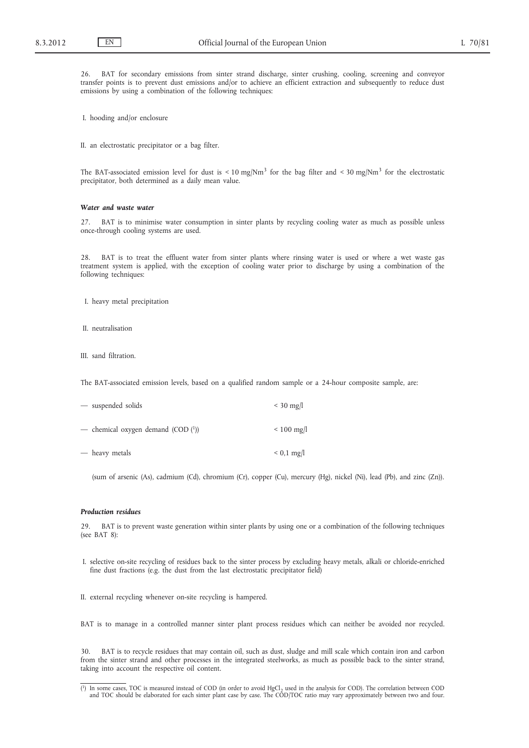26. BAT for secondary emissions from sinter strand discharge, sinter crushing, cooling, screening and conveyor transfer points is to prevent dust emissions and/or to achieve an efficient extraction and subsequently to reduce dust emissions by using a combination of the following techniques:

I. hooding and/or enclosure

II. an electrostatic precipitator or a bag filter.

The BAT-associated emission level for dust is < 10 mg/Nm<sup>3</sup> for the bag filter and < 30 mg/Nm<sup>3</sup> for the electrostatic precipitator, both determined as a daily mean value.

## *Water and waste water*

27. BAT is to minimise water consumption in sinter plants by recycling cooling water as much as possible unless once-through cooling systems are used.

28. BAT is to treat the effluent water from sinter plants where rinsing water is used or where a wet waste gas treatment system is applied, with the exception of cooling water prior to discharge by using a combination of the following techniques:

- I. heavy metal precipitation
- II. neutralisation

III. sand filtration.

The BAT-associated emission levels, based on a qualified random sample or a 24-hour composite sample, are:

| - suspended solids                 | $<$ 30 mg/l             |
|------------------------------------|-------------------------|
| - chemical oxygen demand (COD (1)) | $\leq 100 \text{ mg/l}$ |
| — heavy metals                     | $< 0.1$ mg/l            |

(sum of arsenic (As), cadmium (Cd), chromium (Cr), copper (Cu), mercury (Hg), nickel (Ni), lead (Pb), and zinc (Zn)).

### *Production residues*

29. BAT is to prevent waste generation within sinter plants by using one or a combination of the following techniques (see BAT 8):

- I. selective on-site recycling of residues back to the sinter process by excluding heavy metals, alkali or chloride-enriched fine dust fractions (e.g. the dust from the last electrostatic precipitator field)
- II. external recycling whenever on-site recycling is hampered.

BAT is to manage in a controlled manner sinter plant process residues which can neither be avoided nor recycled.

30. BAT is to recycle residues that may contain oil, such as dust, sludge and mill scale which contain iron and carbon from the sinter strand and other processes in the integrated steelworks, as much as possible back to the sinter strand, taking into account the respective oil content.

<sup>(1)</sup> In some cases, TOC is measured instead of COD (in order to avoid HgCl<sub>2</sub> used in the analysis for COD). The correlation between COD and TOC should be elaborated for each sinter plant case by case. The COD/TOC ratio ma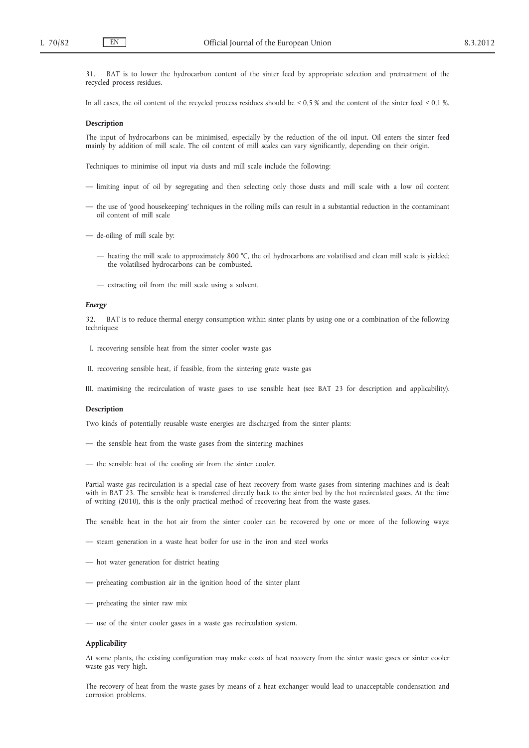BAT is to lower the hydrocarbon content of the sinter feed by appropriate selection and pretreatment of the recycled process residues.

In all cases, the oil content of the recycled process residues should be < 0,5 % and the content of the sinter feed < 0,1 %.

#### **Description**

The input of hydrocarbons can be minimised, especially by the reduction of the oil input. Oil enters the sinter feed mainly by addition of mill scale. The oil content of mill scales can vary significantly, depending on their origin.

Techniques to minimise oil input via dusts and mill scale include the following:

- limiting input of oil by segregating and then selecting only those dusts and mill scale with a low oil content
- the use of 'good housekeeping' techniques in the rolling mills can result in a substantial reduction in the contaminant oil content of mill scale
- de-oiling of mill scale by:
	- heating the mill scale to approximately 800 °C, the oil hydrocarbons are volatilised and clean mill scale is yielded; the volatilised hydrocarbons can be combusted.
	- extracting oil from the mill scale using a solvent.

### *Energy*

32. BAT is to reduce thermal energy consumption within sinter plants by using one or a combination of the following techniques:

- I. recovering sensible heat from the sinter cooler waste gas
- II. recovering sensible heat, if feasible, from the sintering grate waste gas
- III. maximising the recirculation of waste gases to use sensible heat (see BAT 23 for description and applicability).

### **Description**

Two kinds of potentially reusable waste energies are discharged from the sinter plants:

- the sensible heat from the waste gases from the sintering machines
- the sensible heat of the cooling air from the sinter cooler.

Partial waste gas recirculation is a special case of heat recovery from waste gases from sintering machines and is dealt with in BAT 23. The sensible heat is transferred directly back to the sinter bed by the hot recirculated gases. At the time of writing (2010), this is the only practical method of recovering heat from the waste gases.

The sensible heat in the hot air from the sinter cooler can be recovered by one or more of the following ways:

- steam generation in a waste heat boiler for use in the iron and steel works
- hot water generation for district heating
- preheating combustion air in the ignition hood of the sinter plant
- preheating the sinter raw mix
- use of the sinter cooler gases in a waste gas recirculation system.

#### **Applicability**

At some plants, the existing configuration may make costs of heat recovery from the sinter waste gases or sinter cooler waste gas very high.

The recovery of heat from the waste gases by means of a heat exchanger would lead to unacceptable condensation and corrosion problems.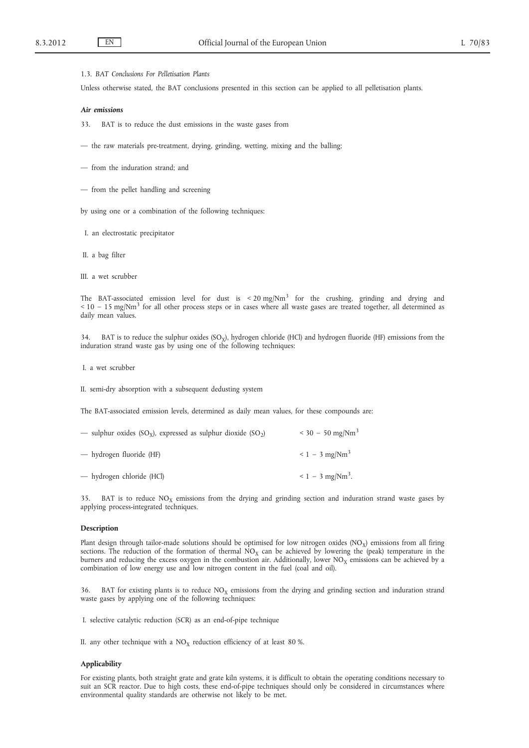### 1.3. *BAT Conclusions For Pelletisation Plants*

Unless otherwise stated, the BAT conclusions presented in this section can be applied to all pelletisation plants.

#### *Air emissions*

33. BAT is to reduce the dust emissions in the waste gases from

— the raw materials pre-treatment, drying, grinding, wetting, mixing and the balling;

- from the induration strand; and
- from the pellet handling and screening

by using one or a combination of the following techniques:

- I. an electrostatic precipitator
- II. a bag filter
- III. a wet scrubber

The BAT-associated emission level for dust is  $\lt$  20 mg/Nm<sup>3</sup> for the crushing, grinding and drying and  $<$  10 – 15 mg/Nm<sup>3</sup> for all other process steps or in cases where all waste gases are treated together, all determined as daily mean values.

34. BAT is to reduce the sulphur oxides  $(SO<sub>x</sub>)$ , hydrogen chloride (HCl) and hydrogen fluoride (HF) emissions from the induration strand waste gas by using one of the following techniques:

I. a wet scrubber

II. semi-dry absorption with a subsequent dedusting system

The BAT-associated emission levels, determined as daily mean values, for these compounds are:

| — sulphur oxides (SO <sub>y</sub> ), expressed as sulphur dioxide (SO <sub>2</sub> ) | $<$ 30 - 50 mg/Nm <sup>3</sup>    |
|--------------------------------------------------------------------------------------|-----------------------------------|
| — hydrogen fluoride (HF)                                                             | $\leq 1 - 3$ mg/Nm <sup>3</sup>   |
| - hydrogen chloride (HCl)                                                            | $\leq 1 - 3$ mg/Nm <sup>3</sup> . |

35. BAT is to reduce  $NO<sub>x</sub>$  emissions from the drying and grinding section and induration strand waste gases by applying process-integrated techniques.

## **Description**

Plant design through tailor-made solutions should be optimised for low nitrogen oxides (NO<sub>X</sub>) emissions from all firing sections. The reduction of the formation of thermal  $NO<sub>X</sub>$  can be achieved by lowering the (peak) temperature in the burners and reducing the excess oxygen in the combustion air. Additionally, lower  $NO<sub>X</sub>$  emissions can be achieved by a combination of low energy use and low nitrogen content in the fuel (coal and oil).

36. BAT for existing plants is to reduce  $NO<sub>X</sub>$  emissions from the drying and grinding section and induration strand waste gases by applying one of the following techniques:

I. selective catalytic reduction (SCR) as an end-of-pipe technique

II. any other technique with a  $NO<sub>X</sub>$  reduction efficiency of at least 80 %.

#### **Applicability**

For existing plants, both straight grate and grate kiln systems, it is difficult to obtain the operating conditions necessary to suit an SCR reactor. Due to high costs, these end-of-pipe techniques should only be considered in circumstances where environmental quality standards are otherwise not likely to be met.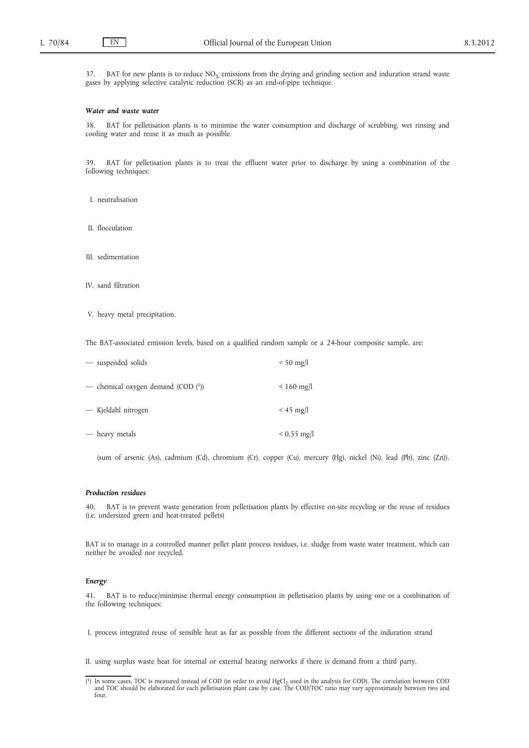37. BAT for new plants is to reduce  $NO<sub>X</sub>$  emissions from the drying and grinding section and induration strand waste gases by applying selective catalytic reduction (SCR) as an end-of-pipe technique.

### *Water and waste water*

38. BAT for pelletisation plants is to minimise the water consumption and discharge of scrubbing, wet rinsing and cooling water and reuse it as much as possible.

39. BAT for pelletisation plants is to treat the effluent water prior to discharge by using a combination of the following techniques:

- I. neutralisation
- II. flocculation
- III. sedimentation
- IV. sand filtration
- V. heavy metal precipitation.

The BAT-associated emission levels, based on a qualified random sample or a 24-hour composite sample, are:

| - suspended solids                 | $< 50$ mg/l       |
|------------------------------------|-------------------|
| - chemical oxygen demand (COD (1)) | $< 160$ mg/l      |
| — Kjeldahl nitrogen                | $<$ 45 mg/l       |
| — heavy metals                     | $0,55 \text{ mg}$ |

(sum of arsenic (As), cadmium (Cd), chromium (Cr), copper (Cu), mercury (Hg), nickel (Ni), lead (Pb), zinc (Zn)).

### *Production residues*

40. BAT is to prevent waste generation from pelletisation plants by effective on-site recycling or the reuse of residues (i.e. undersized green and heat-treated pellets)

BAT is to manage in a controlled manner pellet plant process residues, i.e. sludge from waste water treatment, which can neither be avoided nor recycled.

### *Energy*

41. BAT is to reduce/minimise thermal energy consumption in pelletisation plants by using one or a combination of the following techniques:

I. process integrated reuse of sensible heat as far as possible from the different sections of the induration strand

II. using surplus waste heat for internal or external heating networks if there is demand from a third party.

 $(1)$  In some cases, TOC is measured instead of COD (in order to avoid HgCl<sub>2</sub> used in the analysis for COD). The correlation between COD and TOC should be elaborated for each pelletisation plant case by case. The COD/TOC ratio may vary approximately between two and four.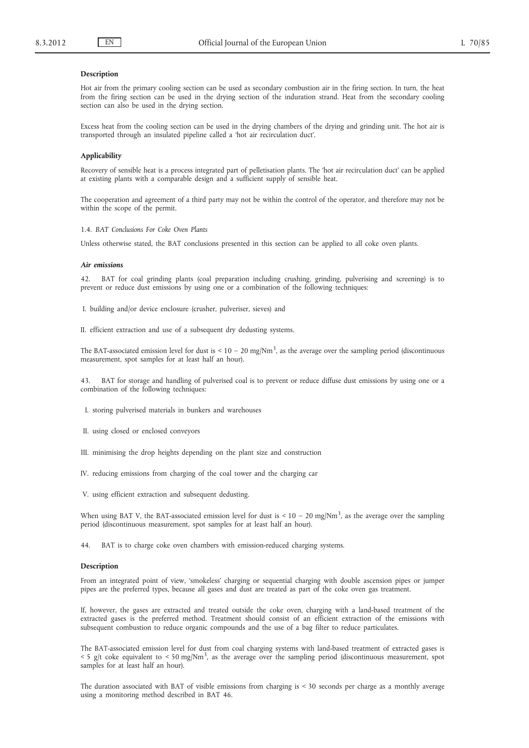### **Description**

Hot air from the primary cooling section can be used as secondary combustion air in the firing section. In turn, the heat from the firing section can be used in the drying section of the induration strand. Heat from the secondary cooling section can also be used in the drying section.

Excess heat from the cooling section can be used in the drying chambers of the drying and grinding unit. The hot air is transported through an insulated pipeline called a 'hot air recirculation duct'.

#### **Applicability**

Recovery of sensible heat is a process integrated part of pelletisation plants. The 'hot air recirculation duct' can be applied at existing plants with a comparable design and a sufficient supply of sensible heat.

The cooperation and agreement of a third party may not be within the control of the operator, and therefore may not be within the scope of the permit.

1.4. *BAT Conclusions For Coke Oven Plants*

Unless otherwise stated, the BAT conclusions presented in this section can be applied to all coke oven plants.

#### *Air emissions*

42. BAT for coal grinding plants (coal preparation including crushing, grinding, pulverising and screening) is to prevent or reduce dust emissions by using one or a combination of the following techniques:

I. building and/or device enclosure (crusher, pulveriser, sieves) and

II. efficient extraction and use of a subsequent dry dedusting systems.

The BAT-associated emission level for dust is  $\leq 10 - 20$  mg/Nm<sup>3</sup>, as the average over the sampling period (discontinuous measurement, spot samples for at least half an hour).

43. BAT for storage and handling of pulverised coal is to prevent or reduce diffuse dust emissions by using one or a combination of the following techniques:

I. storing pulverised materials in bunkers and warehouses

- II. using closed or enclosed conveyors
- III. minimising the drop heights depending on the plant size and construction
- IV. reducing emissions from charging of the coal tower and the charging car

V. using efficient extraction and subsequent dedusting.

When using BAT V, the BAT-associated emission level for dust is  $\leq 10 - 20$  mg/Nm<sup>3</sup>, as the average over the sampling period (discontinuous measurement, spot samples for at least half an hour).

44. BAT is to charge coke oven chambers with emission-reduced charging systems.

### **Description**

From an integrated point of view, 'smokeless' charging or sequential charging with double ascension pipes or jumper pipes are the preferred types, because all gases and dust are treated as part of the coke oven gas treatment.

If, however, the gases are extracted and treated outside the coke oven, charging with a land-based treatment of the extracted gases is the preferred method. Treatment should consist of an efficient extraction of the emissions with subsequent combustion to reduce organic compounds and the use of a bag filter to reduce particulates.

The BAT-associated emission level for dust from coal charging systems with land-based treatment of extracted gases is  $<$  5 g/t coke equivalent to  $<$  50 mg/Nm<sup>3</sup>, as the average over the sampling period (discontinuous measurement, spot samples for at least half an hour).

The duration associated with BAT of visible emissions from charging is < 30 seconds per charge as a monthly average using a monitoring method described in BAT 46.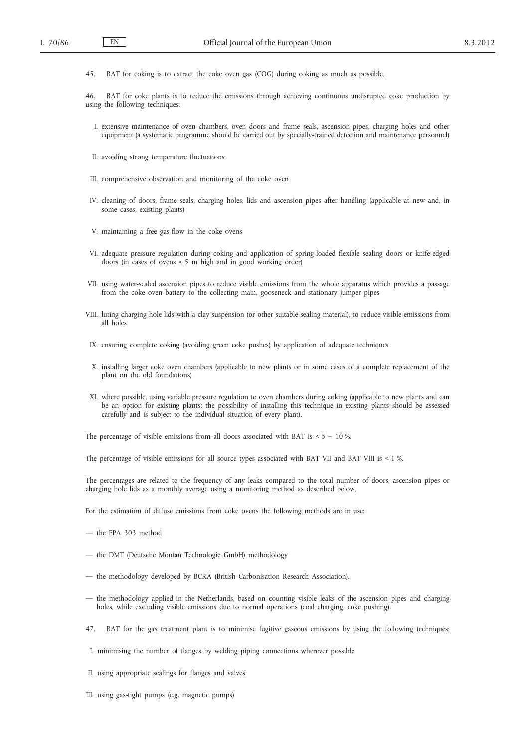45. BAT for coking is to extract the coke oven gas (COG) during coking as much as possible.

46. BAT for coke plants is to reduce the emissions through achieving continuous undisrupted coke production by using the following techniques:

- I. extensive maintenance of oven chambers, oven doors and frame seals, ascension pipes, charging holes and other equipment (a systematic programme should be carried out by specially-trained detection and maintenance personnel)
- II. avoiding strong temperature fluctuations
- III. comprehensive observation and monitoring of the coke oven
- IV. cleaning of doors, frame seals, charging holes, lids and ascension pipes after handling (applicable at new and, in some cases, existing plants)
- V. maintaining a free gas-flow in the coke ovens
- VI. adequate pressure regulation during coking and application of spring-loaded flexible sealing doors or knife-edged doors (in cases of ovens  $\leq$  5 m high and in good working order)
- VII. using water-sealed ascension pipes to reduce visible emissions from the whole apparatus which provides a passage from the coke oven battery to the collecting main, gooseneck and stationary jumper pipes
- VIII. luting charging hole lids with a clay suspension (or other suitable sealing material), to reduce visible emissions from all holes
- IX. ensuring complete coking (avoiding green coke pushes) by application of adequate techniques
- X. installing larger coke oven chambers (applicable to new plants or in some cases of a complete replacement of the plant on the old foundations)
- XI. where possible, using variable pressure regulation to oven chambers during coking (applicable to new plants and can be an option for existing plants; the possibility of installing this technique in existing plants should be assessed carefully and is subject to the individual situation of every plant).

The percentage of visible emissions from all doors associated with BAT is  $< 5 - 10\%$ .

The percentage of visible emissions for all source types associated with BAT VII and BAT VIII is < 1 %.

The percentages are related to the frequency of any leaks compared to the total number of doors, ascension pipes or charging hole lids as a monthly average using a monitoring method as described below.

For the estimation of diffuse emissions from coke ovens the following methods are in use:

- the EPA 303 method
- the DMT (Deutsche Montan Technologie GmbH) methodology
- the methodology developed by BCRA (British Carbonisation Research Association).
- the methodology applied in the Netherlands, based on counting visible leaks of the ascension pipes and charging holes, while excluding visible emissions due to normal operations (coal charging, coke pushing).
- 47. BAT for the gas treatment plant is to minimise fugitive gaseous emissions by using the following techniques:
- I. minimising the number of flanges by welding piping connections wherever possible
- II. using appropriate sealings for flanges and valves
- III. using gas-tight pumps (e.g. magnetic pumps)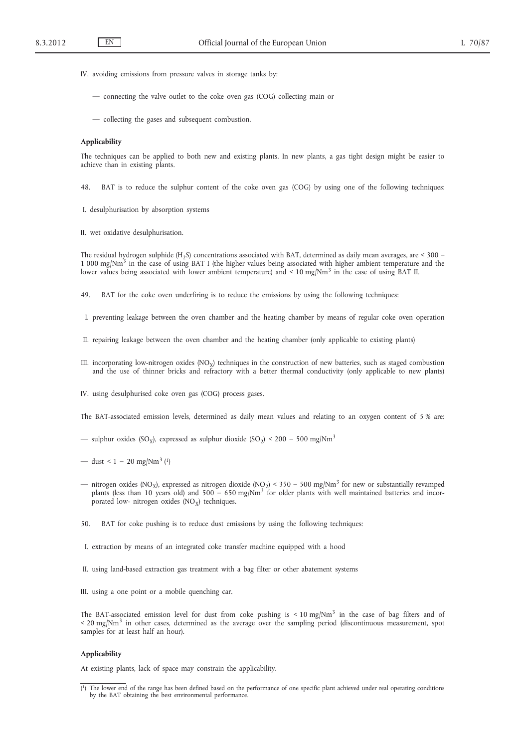- IV. avoiding emissions from pressure valves in storage tanks by:
	- connecting the valve outlet to the coke oven gas (COG) collecting main or
	- collecting the gases and subsequent combustion.

#### **Applicability**

The techniques can be applied to both new and existing plants. In new plants, a gas tight design might be easier to achieve than in existing plants.

48. BAT is to reduce the sulphur content of the coke oven gas (COG) by using one of the following techniques:

- I. desulphurisation by absorption systems
- II. wet oxidative desulphurisation.

The residual hydrogen sulphide (H<sub>2</sub>S) concentrations associated with BAT, determined as daily mean averages, are < 300 –  $1\,000\,\text{mg}/\text{Nm}^3$  in the case of using BAT I (the higher values being associated with higher ambient temperature and the lower values being associated with lower ambient temperature) and < 10 mg/Nm<sup>3</sup> in the case of using BAT II.

49. BAT for the coke oven underfiring is to reduce the emissions by using the following techniques:

- I. preventing leakage between the oven chamber and the heating chamber by means of regular coke oven operation
- II. repairing leakage between the oven chamber and the heating chamber (only applicable to existing plants)
- III. incorporating low-nitrogen oxides  $(NO<sub>X</sub>)$  techniques in the construction of new batteries, such as staged combustion and the use of thinner bricks and refractory with a better thermal conductivity (only applicable to new plants)

IV. using desulphurised coke oven gas (COG) process gases.

The BAT-associated emission levels, determined as daily mean values and relating to an oxygen content of 5 % are:

— sulphur oxides (SO<sub>x</sub>), expressed as sulphur dioxide (SO<sub>2</sub>) < 200 – 500 mg/Nm<sup>3</sup>

— dust < 1 – 20 mg/Nm<sup>3</sup> (<sup>1</sup>)

- nitrogen oxides (NO<sub>X</sub>), expressed as nitrogen dioxide (NO<sub>2</sub>) < 350 500 mg/Nm<sup>3</sup> for new or substantially revamped plants (less than 10 years old) and 500 – 650 mg/Nm<sup>3</sup> for older plants with well maintained batteries and incorporated low- nitrogen oxides  $(NO<sub>x</sub>)$  techniques.
- 50. BAT for coke pushing is to reduce dust emissions by using the following techniques:
- I. extraction by means of an integrated coke transfer machine equipped with a hood
- II. using land-based extraction gas treatment with a bag filter or other abatement systems
- III. using a one point or a mobile quenching car.

The BAT-associated emission level for dust from coke pushing is  $\leq 10 \text{ mg/Nm}^3$  in the case of bag filters and of < 20 mg/Nm<sup>3</sup> in other cases, determined as the average over the sampling period (discontinuous measurement, spot samples for at least half an hour).

#### **Applicability**

At existing plants, lack of space may constrain the applicability.

<sup>(</sup> 1) The lower end of the range has been defined based on the performance of one specific plant achieved under real operating conditions by the BAT obtaining the best environmental performance.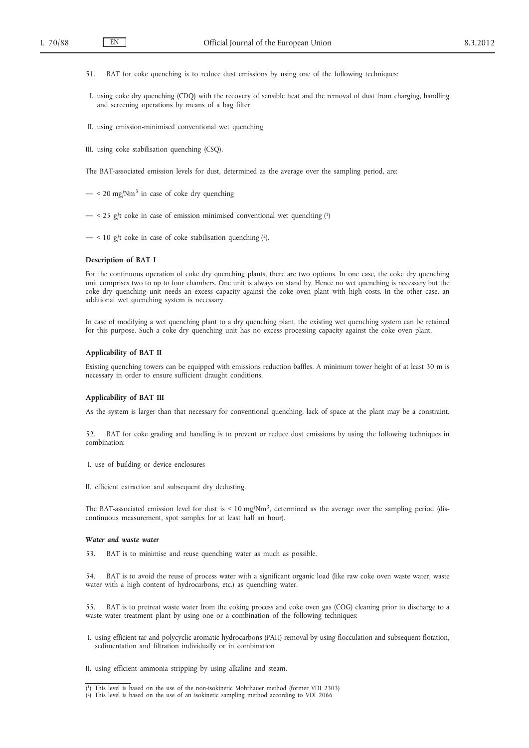- 51. BAT for coke quenching is to reduce dust emissions by using one of the following techniques:
- I. using coke dry quenching (CDQ) with the recovery of sensible heat and the removal of dust from charging, handling and screening operations by means of a bag filter
- II. using emission-minimised conventional wet quenching
- III. using coke stabilisation quenching (CSQ).

The BAT-associated emission levels for dust, determined as the average over the sampling period, are:

- $-$  < 20 mg/Nm<sup>3</sup> in case of coke dry quenching
- $-$  < 25 g/t coke in case of emission minimised conventional wet quenching  $(1)$
- $-$  < 10 g/t coke in case of coke stabilisation quenching (2).

### **Description of BAT I**

For the continuous operation of coke dry quenching plants, there are two options. In one case, the coke dry quenching unit comprises two to up to four chambers. One unit is always on stand by. Hence no wet quenching is necessary but the coke dry quenching unit needs an excess capacity against the coke oven plant with high costs. In the other case, an additional wet quenching system is necessary.

In case of modifying a wet quenching plant to a dry quenching plant, the existing wet quenching system can be retained for this purpose. Such a coke dry quenching unit has no excess processing capacity against the coke oven plant.

### **Applicability of BAT II**

Existing quenching towers can be equipped with emissions reduction baffles. A minimum tower height of at least 30 m is necessary in order to ensure sufficient draught conditions.

### **Applicability of BAT III**

As the system is larger than that necessary for conventional quenching, lack of space at the plant may be a constraint.

52. BAT for coke grading and handling is to prevent or reduce dust emissions by using the following techniques in combination:

- I. use of building or device enclosures
- II. efficient extraction and subsequent dry dedusting.

The BAT-associated emission level for dust is  $\leq 10 \text{ mg/Nm}^3$ , determined as the average over the sampling period (discontinuous measurement, spot samples for at least half an hour).

### *Water and waste water*

53. BAT is to minimise and reuse quenching water as much as possible.

54. BAT is to avoid the reuse of process water with a significant organic load (like raw coke oven waste water, waste water with a high content of hydrocarbons, etc.) as quenching water.

55. BAT is to pretreat waste water from the coking process and coke oven gas (COG) cleaning prior to discharge to a waste water treatment plant by using one or a combination of the following techniques:

- I. using efficient tar and polycyclic aromatic hydrocarbons (PAH) removal by using flocculation and subsequent flotation, sedimentation and filtration individually or in combination
- II. using efficient ammonia stripping by using alkaline and steam.

<sup>(</sup> ( 2) This level is based on the use of an isokinetic sampling method according to VDI 2066This level is based on the use of the non-isokinetic Mohrhauer method (former VDI 2303)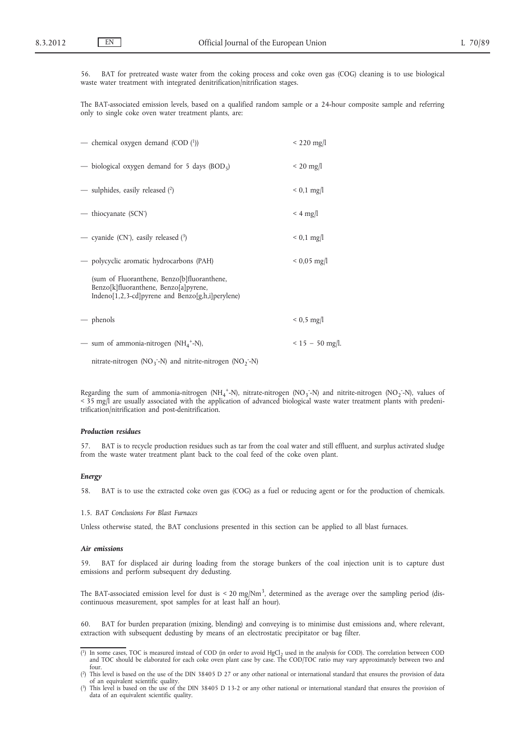56. BAT for pretreated waste water from the coking process and coke oven gas (COG) cleaning is to use biological waste water treatment with integrated denitrification/nitrification stages.

The BAT-associated emission levels, based on a qualified random sample or a 24-hour composite sample and referring only to single coke oven water treatment plants, are:

| — chemical oxygen demand (COD (1))                                                                                                       | $< 220$ mg/l      |
|------------------------------------------------------------------------------------------------------------------------------------------|-------------------|
| — biological oxygen demand for 5 days (BOD <sub>5</sub> )                                                                                | $\leq$ 20 mg/l    |
| — sulphides, easily released (2)                                                                                                         | $< 0.1$ mg/l      |
| — thiocyanate (SCN <sup>-</sup> )                                                                                                        | $<$ 4 mg/l        |
| - cyanide (CN <sup>-</sup> ), easily released (3)                                                                                        | $< 0.1$ mg/l      |
| — polycyclic aromatic hydrocarbons (PAH)                                                                                                 | $< 0.05$ mg/l     |
| (sum of Fluoranthene, Benzo[b]fluoranthene,<br>Benzo[k]fluoranthene, Benzo[a]pyrene,<br>Indeno[1,2,3-cd]pyrene and Benzo[g,h,i]perylene) |                   |
| — phenols                                                                                                                                | $< 0.5$ mg/l      |
| — sum of ammonia-nitrogen (NH <sub>4</sub> <sup>+</sup> -N),                                                                             | $< 15 - 50$ mg/l. |
| nitrate-nitrogen (NO <sub>3</sub> <sup>-</sup> N) and nitrite-nitrogen (NO <sub>2</sub> <sup>-</sup> N)                                  |                   |

Regarding the sum of ammonia-nitrogen (NH<sub>4</sub><sup>+</sup>-N), nitrate-nitrogen (NO<sub>3</sub>-N) and nitrite-nitrogen (NO<sub>2</sub>-N), values of < 35 mg/l are usually associated with the application of advanced biological waste water treatment plants with predenitrification/nitrification and post-denitrification.

### *Production residues*

57. BAT is to recycle production residues such as tar from the coal water and still effluent, and surplus activated sludge from the waste water treatment plant back to the coal feed of the coke oven plant.

### *Energy*

58. BAT is to use the extracted coke oven gas (COG) as a fuel or reducing agent or for the production of chemicals.

1.5. *BAT Conclusions For Blast Furnaces*

Unless otherwise stated, the BAT conclusions presented in this section can be applied to all blast furnaces.

### *Air emissions*

59. BAT for displaced air during loading from the storage bunkers of the coal injection unit is to capture dust emissions and perform subsequent dry dedusting.

The BAT-associated emission level for dust is  $\lt 20 \text{ mg/Nm}^3$ , determined as the average over the sampling period (discontinuous measurement, spot samples for at least half an hour).

60. BAT for burden preparation (mixing, blending) and conveying is to minimise dust emissions and, where relevant, extraction with subsequent dedusting by means of an electrostatic precipitator or bag filter.

<sup>(1)</sup> In some cases, TOC is measured instead of COD (in order to avoid HgCl<sub>2</sub> used in the analysis for COD). The correlation between COD and TOC should be elaborated for each coke oven plant case by case. The COD/TOC ratio may vary approximately between two and four.

<sup>(</sup> 2) This level is based on the use of the DIN 38405 D 27 or any other national or international standard that ensures the provision of data of an equivalent scientific quality.

<sup>(</sup> 3) This level is based on the use of the DIN 38405 D 13-2 or any other national or international standard that ensures the provision of data of an equivalent scientific quality.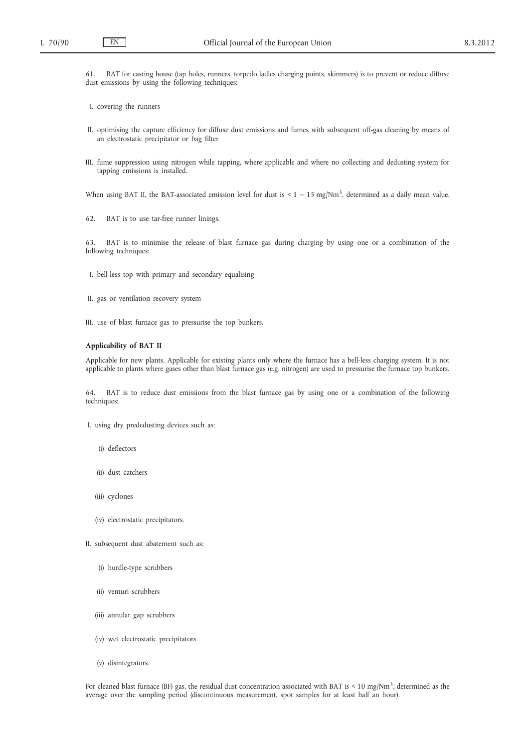61. BAT for casting house (tap holes, runners, torpedo ladles charging points, skimmers) is to prevent or reduce diffuse dust emissions by using the following techniques:

I. covering the runners

- II. optimising the capture efficiency for diffuse dust emissions and fumes with subsequent off-gas cleaning by means of an electrostatic precipitator or bag filter
- III. fume suppression using nitrogen while tapping, where applicable and where no collecting and dedusting system for tapping emissions is installed.

When using BAT II, the BAT-associated emission level for dust is  $\leq 1 - 15$  mg/Nm<sup>3</sup>, determined as a daily mean value.

62. BAT is to use tar-free runner linings.

63. BAT is to minimise the release of blast furnace gas during charging by using one or a combination of the following techniques:

- I. bell-less top with primary and secondary equalising
- II. gas or ventilation recovery system
- III. use of blast furnace gas to pressurise the top bunkers.

## **Applicability of BAT II**

Applicable for new plants. Applicable for existing plants only where the furnace has a bell-less charging system. It is not applicable to plants where gases other than blast furnace gas (e.g. nitrogen) are used to pressurise the furnace top bunkers.

64. BAT is to reduce dust emissions from the blast furnace gas by using one or a combination of the following techniques:

- I. using dry prededusting devices such as:
	- (i) deflectors
	- (ii) dust catchers
	- (iii) cyclones
	- (iv) electrostatic precipitators.
- II. subsequent dust abatement such as:
	- (i) hurdle-type scrubbers
	- (ii) venturi scrubbers
	- (iii) annular gap scrubbers
	- (iv) wet electrostatic precipitators
	- (v) disintegrators.

For cleaned blast furnace (BF) gas, the residual dust concentration associated with BAT is < 10 mg/Nm<sup>3</sup>, determined as the average over the sampling period (discontinuous measurement, spot samples for at least half an hour).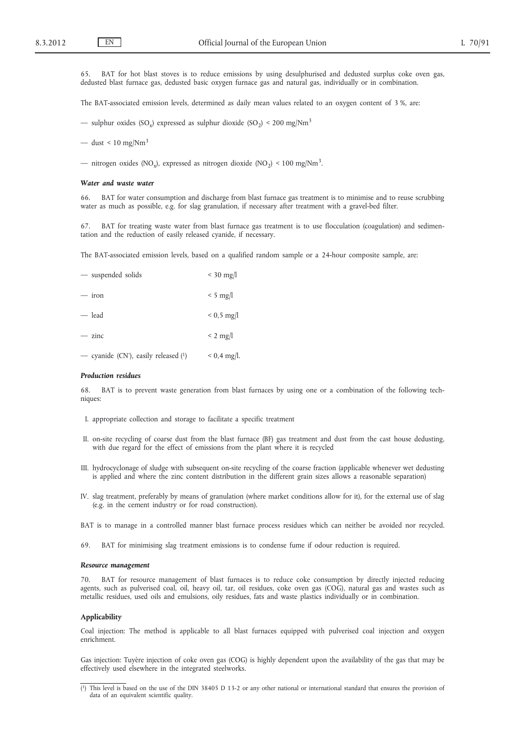65. BAT for hot blast stoves is to reduce emissions by using desulphurised and dedusted surplus coke oven gas, dedusted blast furnace gas, dedusted basic oxygen furnace gas and natural gas, individually or in combination.

The BAT-associated emission levels, determined as daily mean values related to an oxygen content of 3 %, are:

— sulphur oxides (SO<sub>x</sub>) expressed as sulphur dioxide (SO<sub>2</sub>) < 200 mg/Nm<sup>3</sup>

— dust <  $10 \text{ mg}/\text{Nm}^3$ 

— nitrogen oxides (NO<sub>x</sub>), expressed as nitrogen dioxide (NO<sub>2</sub>) < 100 mg/Nm<sup>3</sup>.

#### *Water and waste water*

66. BAT for water consumption and discharge from blast furnace gas treatment is to minimise and to reuse scrubbing water as much as possible, e.g. for slag granulation, if necessary after treatment with a gravel-bed filter.

67. BAT for treating waste water from blast furnace gas treatment is to use flocculation (coagulation) and sedimentation and the reduction of easily released cyanide, if necessary.

The BAT-associated emission levels, based on a qualified random sample or a 24-hour composite sample, are:

| - suspended solids                                             | $<$ 30 mg/l   |
|----------------------------------------------------------------|---------------|
| $-$ iron                                                       | $< 5$ mg/l    |
| — lead                                                         | $< 0.5$ mg/l  |
| $-$ zinc                                                       | $< 2$ mg/l    |
| — cyanide (CN <sup>-</sup> ), easily released ( <sup>1</sup> ) | $< 0.4$ mg/l. |

### *Production residues*

68. BAT is to prevent waste generation from blast furnaces by using one or a combination of the following techniques:

- I. appropriate collection and storage to facilitate a specific treatment
- II. on-site recycling of coarse dust from the blast furnace (BF) gas treatment and dust from the cast house dedusting, with due regard for the effect of emissions from the plant where it is recycled
- III. hydrocyclonage of sludge with subsequent on-site recycling of the coarse fraction (applicable whenever wet dedusting is applied and where the zinc content distribution in the different grain sizes allows a reasonable separation)
- IV. slag treatment, preferably by means of granulation (where market conditions allow for it), for the external use of slag (e.g. in the cement industry or for road construction).
- BAT is to manage in a controlled manner blast furnace process residues which can neither be avoided nor recycled.
- 69. BAT for minimising slag treatment emissions is to condense fume if odour reduction is required.

#### *Resource management*

70. BAT for resource management of blast furnaces is to reduce coke consumption by directly injected reducing agents, such as pulverised coal, oil, heavy oil, tar, oil residues, coke oven gas (COG), natural gas and wastes such as metallic residues, used oils and emulsions, oily residues, fats and waste plastics individually or in combination.

#### **Applicability**

Coal injection: The method is applicable to all blast furnaces equipped with pulverised coal injection and oxygen enrichment.

Gas injection: Tuyère injection of coke oven gas (COG) is highly dependent upon the availability of the gas that may be effectively used elsewhere in the integrated steelworks.

<sup>(</sup> 1) This level is based on the use of the DIN 38405 D 13-2 or any other national or international standard that ensures the provision of data of an equivalent scientific quality.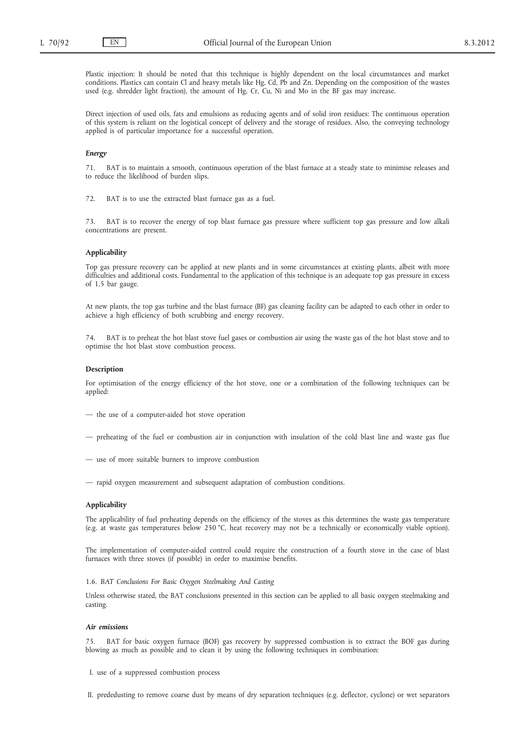Plastic injection: It should be noted that this technique is highly dependent on the local circumstances and market conditions. Plastics can contain Cl and heavy metals like Hg, Cd, Pb and Zn. Depending on the composition of the wastes used (e.g. shredder light fraction), the amount of Hg, Cr, Cu, Ni and Mo in the BF gas may increase.

Direct injection of used oils, fats and emulsions as reducing agents and of solid iron residues: The continuous operation of this system is reliant on the logistical concept of delivery and the storage of residues. Also, the conveying technology applied is of particular importance for a successful operation.

#### *Energy*

71. BAT is to maintain a smooth, continuous operation of the blast furnace at a steady state to minimise releases and to reduce the likelihood of burden slips.

72. BAT is to use the extracted blast furnace gas as a fuel.

73. BAT is to recover the energy of top blast furnace gas pressure where sufficient top gas pressure and low alkali concentrations are present.

#### **Applicability**

Top gas pressure recovery can be applied at new plants and in some circumstances at existing plants, albeit with more difficulties and additional costs. Fundamental to the application of this technique is an adequate top gas pressure in excess of 1.5 bar gauge.

At new plants, the top gas turbine and the blast furnace (BF) gas cleaning facility can be adapted to each other in order to achieve a high efficiency of both scrubbing and energy recovery.

74. BAT is to preheat the hot blast stove fuel gases or combustion air using the waste gas of the hot blast stove and to optimise the hot blast stove combustion process.

#### **Description**

For optimisation of the energy efficiency of the hot stove, one or a combination of the following techniques can be applied:

- the use of a computer-aided hot stove operation
- preheating of the fuel or combustion air in conjunction with insulation of the cold blast line and waste gas flue
- use of more suitable burners to improve combustion
- rapid oxygen measurement and subsequent adaptation of combustion conditions.

#### **Applicability**

The applicability of fuel preheating depends on the efficiency of the stoves as this determines the waste gas temperature (e.g. at waste gas temperatures below 250 °C, heat recovery may not be a technically or economically viable option).

The implementation of computer-aided control could require the construction of a fourth stove in the case of blast furnaces with three stoves (if possible) in order to maximise benefits.

1.6. *BAT Conclusions For Basic Oxygen Steelmaking And Casting*

Unless otherwise stated, the BAT conclusions presented in this section can be applied to all basic oxygen steelmaking and casting.

#### *Air emissions*

75. BAT for basic oxygen furnace (BOF) gas recovery by suppressed combustion is to extract the BOF gas during blowing as much as possible and to clean it by using the following techniques in combination:

I. use of a suppressed combustion process

II. prededusting to remove coarse dust by means of dry separation techniques (e.g. deflector, cyclone) or wet separators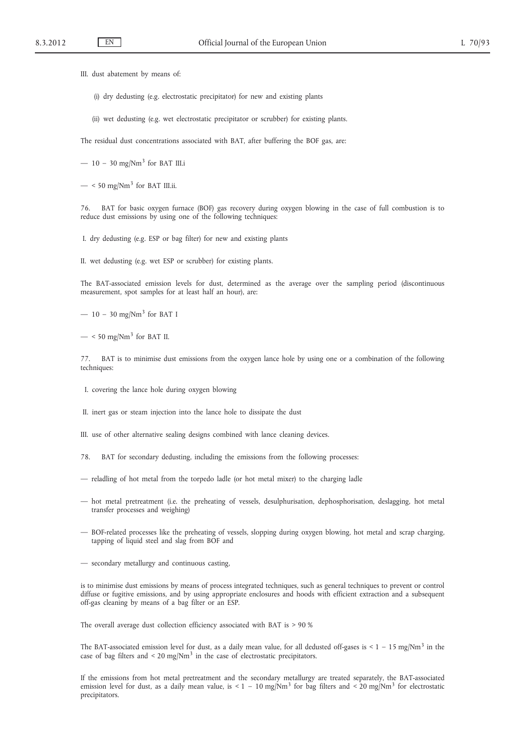III. dust abatement by means of:

- (i) dry dedusting (e.g. electrostatic precipitator) for new and existing plants
- (ii) wet dedusting (e.g. wet electrostatic precipitator or scrubber) for existing plants.

The residual dust concentrations associated with BAT, after buffering the BOF gas, are:

- $-10 30$  mg/Nm<sup>3</sup> for BAT III.i
- $-$  < 50 mg/Nm<sup>3</sup> for BAT III.ii.

76. BAT for basic oxygen furnace (BOF) gas recovery during oxygen blowing in the case of full combustion is to reduce dust emissions by using one of the following techniques:

I. dry dedusting (e.g. ESP or bag filter) for new and existing plants

II. wet dedusting (e.g. wet ESP or scrubber) for existing plants.

The BAT-associated emission levels for dust, determined as the average over the sampling period (discontinuous measurement, spot samples for at least half an hour), are:

—  $10 - 30$  mg/Nm<sup>3</sup> for BAT I

 $-$  < 50 mg/Nm<sup>3</sup> for BAT II.

77. BAT is to minimise dust emissions from the oxygen lance hole by using one or a combination of the following techniques:

I. covering the lance hole during oxygen blowing

II. inert gas or steam injection into the lance hole to dissipate the dust

III. use of other alternative sealing designs combined with lance cleaning devices.

- 78. BAT for secondary dedusting, including the emissions from the following processes:
- reladling of hot metal from the torpedo ladle (or hot metal mixer) to the charging ladle
- hot metal pretreatment (i.e. the preheating of vessels, desulphurisation, dephosphorisation, deslagging, hot metal transfer processes and weighing)
- BOF-related processes like the preheating of vessels, slopping during oxygen blowing, hot metal and scrap charging, tapping of liquid steel and slag from BOF and

— secondary metallurgy and continuous casting,

is to minimise dust emissions by means of process integrated techniques, such as general techniques to prevent or control diffuse or fugitive emissions, and by using appropriate enclosures and hoods with efficient extraction and a subsequent off-gas cleaning by means of a bag filter or an ESP.

The overall average dust collection efficiency associated with BAT is > 90 %

The BAT-associated emission level for dust, as a daily mean value, for all dedusted off-gases is  $\leq 1 - 15$  mg/Nm<sup>3</sup> in the case of bag filters and  $\leq 20 \text{ mg}/\text{Nm}^3$  in the case of electrostatic precipitators.

If the emissions from hot metal pretreatment and the secondary metallurgy are treated separately, the BAT-associated emission level for dust, as a daily mean value, is < 1 – 10 mg/Nm<sup>3</sup> for bag filters and < 20 mg/Nm<sup>3</sup> for electrostatic precipitators.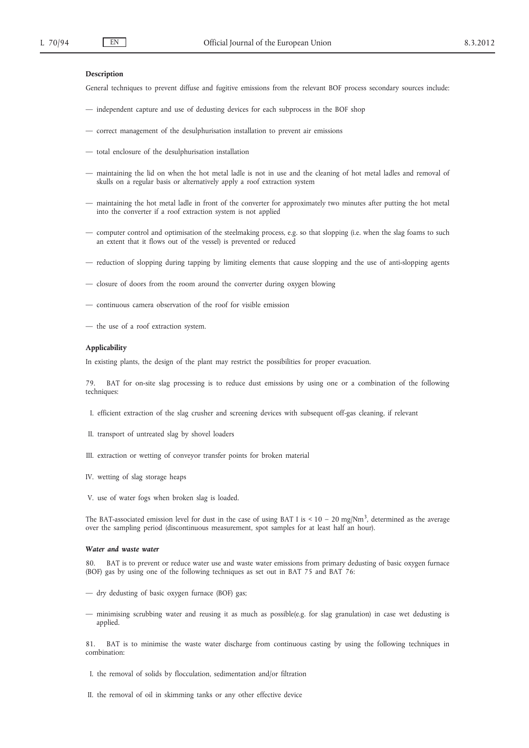### **Description**

General techniques to prevent diffuse and fugitive emissions from the relevant BOF process secondary sources include:

- independent capture and use of dedusting devices for each subprocess in the BOF shop
- correct management of the desulphurisation installation to prevent air emissions
- total enclosure of the desulphurisation installation
- maintaining the lid on when the hot metal ladle is not in use and the cleaning of hot metal ladles and removal of skulls on a regular basis or alternatively apply a roof extraction system
- maintaining the hot metal ladle in front of the converter for approximately two minutes after putting the hot metal into the converter if a roof extraction system is not applied
- computer control and optimisation of the steelmaking process, e.g. so that slopping (i.e. when the slag foams to such an extent that it flows out of the vessel) is prevented or reduced
- reduction of slopping during tapping by limiting elements that cause slopping and the use of anti-slopping agents
- closure of doors from the room around the converter during oxygen blowing
- continuous camera observation of the roof for visible emission
- the use of a roof extraction system.

# **Applicability**

In existing plants, the design of the plant may restrict the possibilities for proper evacuation.

79. BAT for on-site slag processing is to reduce dust emissions by using one or a combination of the following techniques:

- I. efficient extraction of the slag crusher and screening devices with subsequent off-gas cleaning, if relevant
- II. transport of untreated slag by shovel loaders
- III. extraction or wetting of conveyor transfer points for broken material
- IV. wetting of slag storage heaps
- V. use of water fogs when broken slag is loaded.

The BAT-associated emission level for dust in the case of using BAT I is <  $10 - 20$  mg/Nm<sup>3</sup>, determined as the average over the sampling period (discontinuous measurement, spot samples for at least half an hour).

### *Water and waste water*

80. BAT is to prevent or reduce water use and waste water emissions from primary dedusting of basic oxygen furnace (BOF) gas by using one of the following techniques as set out in BAT 75 and BAT 76:

- dry dedusting of basic oxygen furnace (BOF) gas;
- minimising scrubbing water and reusing it as much as possible(e.g. for slag granulation) in case wet dedusting is applied.

81. BAT is to minimise the waste water discharge from continuous casting by using the following techniques in combination:

- I. the removal of solids by flocculation, sedimentation and/or filtration
- II. the removal of oil in skimming tanks or any other effective device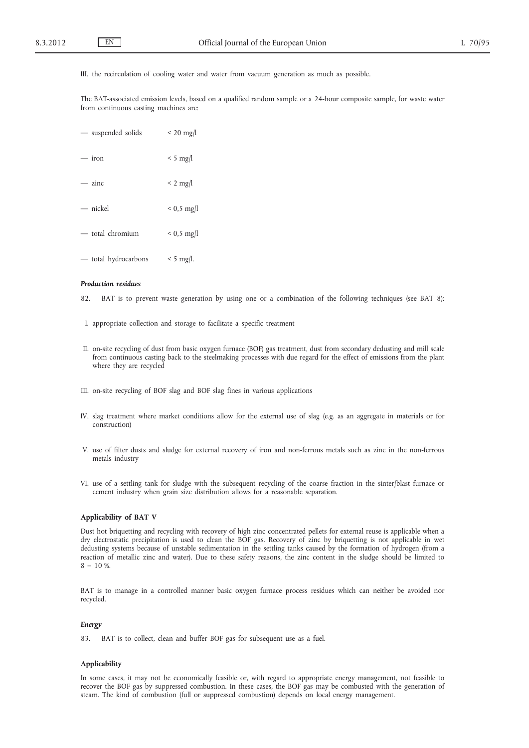III. the recirculation of cooling water and water from vacuum generation as much as possible.

The BAT-associated emission levels, based on a qualified random sample or a 24-hour composite sample, for waste water from continuous casting machines are:

| - suspended solids   | $\leq$ 20 mg/l |
|----------------------|----------------|
| $-$ iron             | $< 5$ mg/l     |
| $-$ zinc             | $< 2$ mg/l     |
| $-$ nickel           | $< 0.5$ mg/l   |
| - total chromium     | $< 0.5$ mg/l   |
| — total hydrocarbons | $< 5$ mg/l.    |

### *Production residues*

82. BAT is to prevent waste generation by using one or a combination of the following techniques (see BAT 8):

- I. appropriate collection and storage to facilitate a specific treatment
- II. on-site recycling of dust from basic oxygen furnace (BOF) gas treatment, dust from secondary dedusting and mill scale from continuous casting back to the steelmaking processes with due regard for the effect of emissions from the plant where they are recycled
- III. on-site recycling of BOF slag and BOF slag fines in various applications
- IV. slag treatment where market conditions allow for the external use of slag (e.g. as an aggregate in materials or for construction)
- V. use of filter dusts and sludge for external recovery of iron and non-ferrous metals such as zinc in the non-ferrous metals industry
- VI. use of a settling tank for sludge with the subsequent recycling of the coarse fraction in the sinter/blast furnace or cement industry when grain size distribution allows for a reasonable separation.

#### **Applicability of BAT V**

Dust hot briquetting and recycling with recovery of high zinc concentrated pellets for external reuse is applicable when a dry electrostatic precipitation is used to clean the BOF gas. Recovery of zinc by briquetting is not applicable in wet dedusting systems because of unstable sedimentation in the settling tanks caused by the formation of hydrogen (from a reaction of metallic zinc and water). Due to these safety reasons, the zinc content in the sludge should be limited to  $8 - 10$  %.

BAT is to manage in a controlled manner basic oxygen furnace process residues which can neither be avoided nor recycled.

### *Energy*

83. BAT is to collect, clean and buffer BOF gas for subsequent use as a fuel.

#### **Applicability**

In some cases, it may not be economically feasible or, with regard to appropriate energy management, not feasible to recover the BOF gas by suppressed combustion. In these cases, the BOF gas may be combusted with the generation of steam. The kind of combustion (full or suppressed combustion) depends on local energy management.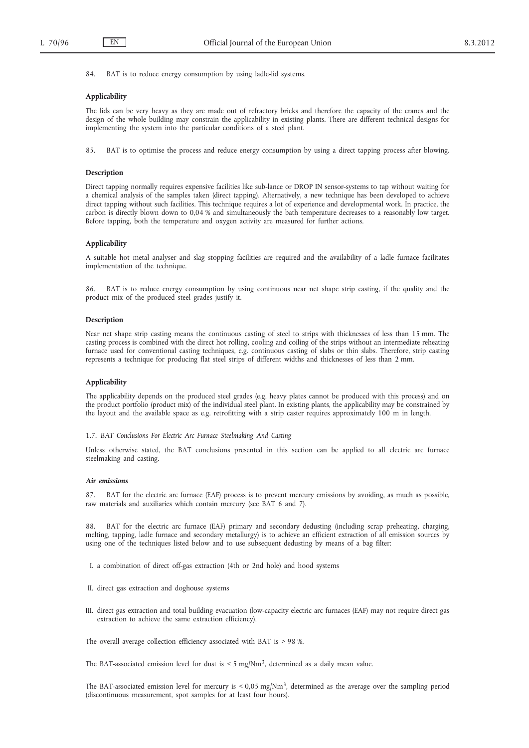84. BAT is to reduce energy consumption by using ladle-lid systems.

### **Applicability**

The lids can be very heavy as they are made out of refractory bricks and therefore the capacity of the cranes and the design of the whole building may constrain the applicability in existing plants. There are different technical designs for implementing the system into the particular conditions of a steel plant.

85. BAT is to optimise the process and reduce energy consumption by using a direct tapping process after blowing.

### **Description**

Direct tapping normally requires expensive facilities like sub-lance or DROP IN sensor-systems to tap without waiting for a chemical analysis of the samples taken (direct tapping). Alternatively, a new technique has been developed to achieve direct tapping without such facilities. This technique requires a lot of experience and developmental work. In practice, the carbon is directly blown down to 0,04 % and simultaneously the bath temperature decreases to a reasonably low target. Before tapping, both the temperature and oxygen activity are measured for further actions.

#### **Applicability**

A suitable hot metal analyser and slag stopping facilities are required and the availability of a ladle furnace facilitates implementation of the technique.

86. BAT is to reduce energy consumption by using continuous near net shape strip casting, if the quality and the product mix of the produced steel grades justify it.

#### **Description**

Near net shape strip casting means the continuous casting of steel to strips with thicknesses of less than 15 mm. The casting process is combined with the direct hot rolling, cooling and coiling of the strips without an intermediate reheating furnace used for conventional casting techniques, e.g. continuous casting of slabs or thin slabs. Therefore, strip casting represents a technique for producing flat steel strips of different widths and thicknesses of less than 2 mm.

#### **Applicability**

The applicability depends on the produced steel grades (e.g. heavy plates cannot be produced with this process) and on the product portfolio (product mix) of the individual steel plant. In existing plants, the applicability may be constrained by the layout and the available space as e.g. retrofitting with a strip caster requires approximately 100 m in length.

### 1.7. *BAT Conclusions For Electric Arc Furnace Steelmaking And Casting*

Unless otherwise stated, the BAT conclusions presented in this section can be applied to all electric arc furnace steelmaking and casting.

## *Air emissions*

87. BAT for the electric arc furnace (EAF) process is to prevent mercury emissions by avoiding, as much as possible, raw materials and auxiliaries which contain mercury (see BAT 6 and 7).

88. BAT for the electric arc furnace (EAF) primary and secondary dedusting (including scrap preheating, charging, melting, tapping, ladle furnace and secondary metallurgy) is to achieve an efficient extraction of all emission sources by using one of the techniques listed below and to use subsequent dedusting by means of a bag filter:

I. a combination of direct off-gas extraction (4th or 2nd hole) and hood systems

- II. direct gas extraction and doghouse systems
- III. direct gas extraction and total building evacuation (low-capacity electric arc furnaces (EAF) may not require direct gas extraction to achieve the same extraction efficiency).

The overall average collection efficiency associated with BAT is > 98 %.

The BAT-associated emission level for dust is  $<$  5 mg/Nm<sup>3</sup>, determined as a daily mean value.

The BAT-associated emission level for mercury is  $< 0.05$  mg/Nm<sup>3</sup>, determined as the average over the sampling period (discontinuous measurement, spot samples for at least four hours).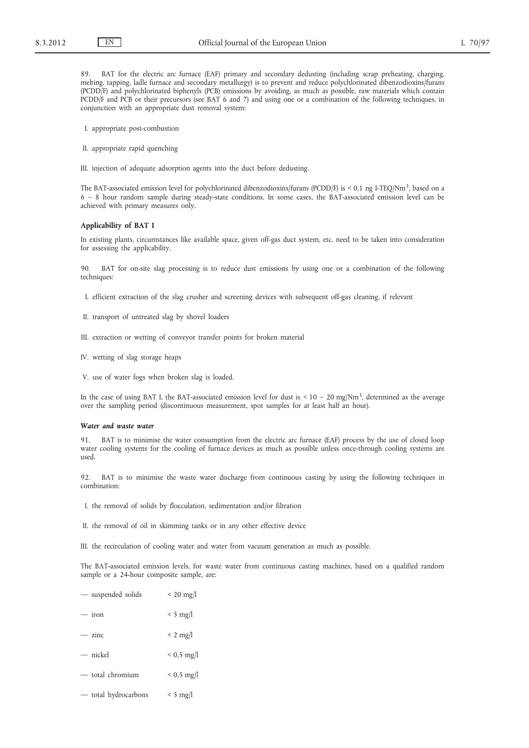89. BAT for the electric arc furnace (EAF) primary and secondary dedusting (including scrap preheating, charging, melting, tapping, ladle furnace and secondary metallurgy) is to prevent and reduce polychlorinated dibenzodioxins/furans (PCDD/F) and polychlorinated biphenyls (PCB) emissions by avoiding, as much as possible, raw materials which contain PCDD/F and PCB or their precursors (see BAT 6 and 7) and using one or a combination of the following techniques, in conjunction with an appropriate dust removal system:

- I. appropriate post-combustion
- II. appropriate rapid quenching
- III. injection of adequate adsorption agents into the duct before dedusting.

The BAT-associated emission level for polychlorinated dibenzodioxins/furans (PCDD/F) is < 0,1 ng I-TEQ/Nm<sup>3</sup>, based on a 6 – 8 hour random sample during steady-state conditions. In some cases, the BAT-associated emission level can be achieved with primary measures only.

#### **Applicability of BAT I**

In existing plants, circumstances like available space, given off-gas duct system, etc. need to be taken into consideration for assessing the applicability.

90. BAT for on-site slag processing is to reduce dust emissions by using one or a combination of the following techniques:

- I. efficient extraction of the slag crusher and screening devices with subsequent off-gas cleaning, if relevant
- II. transport of untreated slag by shovel loaders
- III. extraction or wetting of conveyor transfer points for broken material
- IV. wetting of slag storage heaps
- V. use of water fogs when broken slag is loaded.

In the case of using BAT I, the BAT-associated emission level for dust is  $\lt 10 - 20$  mg/Nm<sup>3</sup>, determined as the average over the sampling period (discontinuous measurement, spot samples for at least half an hour).

#### *Water and waste water*

91. BAT is to minimise the water consumption from the electric arc furnace (EAF) process by the use of closed loop water cooling systems for the cooling of furnace devices as much as possible unless once-through cooling systems are used.

92. BAT is to minimise the waste water discharge from continuous casting by using the following techniques in combination:

- I. the removal of solids by flocculation, sedimentation and/or filtration
- II. the removal of oil in skimming tanks or in any other effective device
- III. the recirculation of cooling water and water from vacuum generation as much as possible.

The BAT-associated emission levels, for waste water from continuous casting machines, based on a qualified random sample or a 24-hour composite sample, are:

- suspended solids < 20 mg/l
- iron  $\leq 5$  mg/l
- $-$  zinc  $\lt 2$  mg/l
- $-$  nickel  $\lt$  0,5 mg/l
- $-$  total chromium  $< 0.5$  mg/l
- total hydrocarbons < 5 mg/l